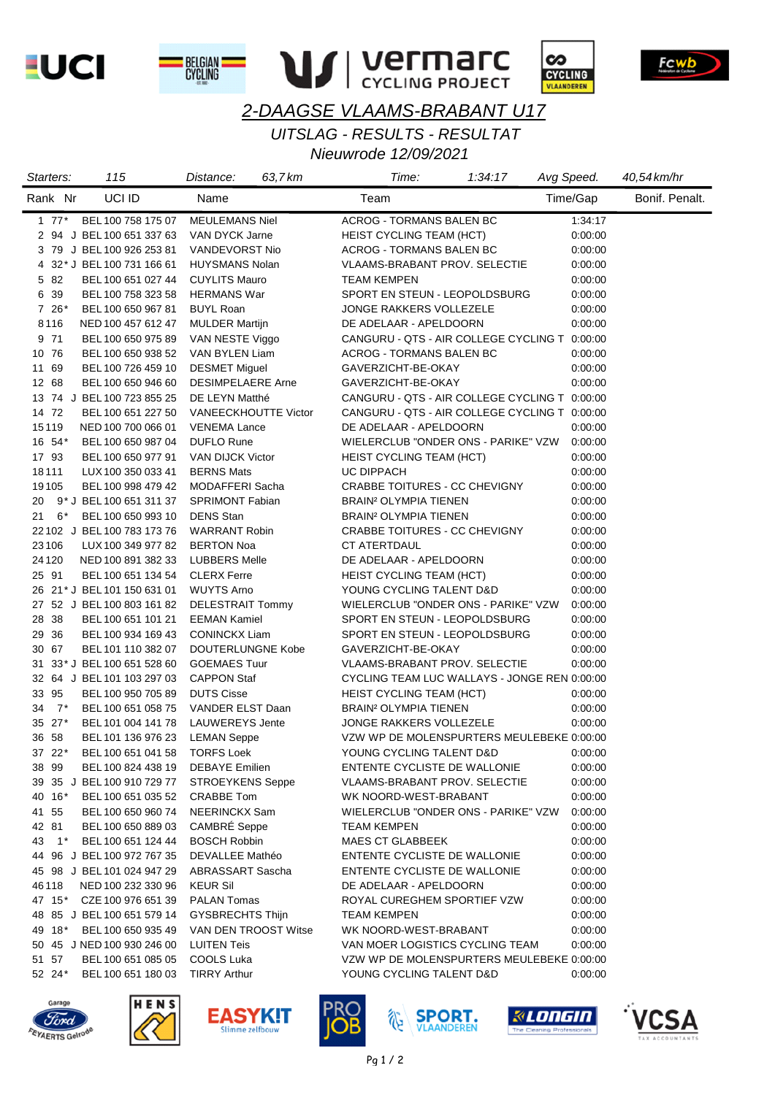**EUCI** 







# Fcwb

# *2-DAAGSE VLAAMS-BRABANT U17*

*UITSLAG - RESULTS - RESULTAT*

| Starters:   | 115                         | Distance:                   | 63.7 km | Time:                                         | 1:34:17 | Avg Speed. | 40,54 km/hr    |
|-------------|-----------------------------|-----------------------------|---------|-----------------------------------------------|---------|------------|----------------|
| Rank Nr     | UCI ID                      | Name                        |         | Team                                          |         | Time/Gap   | Bonif. Penalt. |
| $1 \t77^*$  | BEL 100 758 175 07          | <b>MEULEMANS Niel</b>       |         | <b>ACROG - TORMANS BALEN BC</b>               |         | 1:34:17    |                |
|             | 2 94 J BEL 100 651 337 63   | VAN DYCK Jarne              |         | HEIST CYCLING TEAM (HCT)                      |         | 0:00:00    |                |
|             | 3 79 J BEL 100 926 253 81   | VANDEVORST Nio              |         | ACROG - TORMANS BALEN BC                      |         | 0:00:00    |                |
|             | 4 32* J BEL 100 731 166 61  | <b>HUYSMANS Nolan</b>       |         | <b>VLAAMS-BRABANT PROV. SELECTIE</b>          |         | 0:00:00    |                |
| 5 82        | BEL 100 651 027 44          | <b>CUYLITS Mauro</b>        |         | <b>TEAM KEMPEN</b>                            |         | 0:00:00    |                |
| 6 39        | BEL 100 758 323 58          | <b>HERMANS War</b>          |         | SPORT EN STEUN - LEOPOLDSBURG                 |         | 0:00:00    |                |
| $7\;26*$    | BEL 100 650 967 81          | <b>BUYL Roan</b>            |         | JONGE RAKKERS VOLLEZELE                       |         | 0:00:00    |                |
| 8116        | NED 100 457 612 47          | <b>MULDER Martijn</b>       |         | DE ADELAAR - APELDOORN                        |         | 0:00:00    |                |
| 9 71        | BEL 100 650 975 89          | VAN NESTE Viggo             |         | CANGURU - QTS - AIR COLLEGE CYCLING T 0:00:00 |         |            |                |
| 10 76       | BEL 100 650 938 52          | VAN BYLEN Liam              |         | ACROG - TORMANS BALEN BC                      |         | 0:00:00    |                |
| 11 69       | BEL 100 726 459 10          | <b>DESMET Miguel</b>        |         | GAVERZICHT-BE-OKAY                            |         | 0:00:00    |                |
| 12 68       | BEL 100 650 946 60          | <b>DESIMPELAERE Arne</b>    |         | GAVERZICHT-BE-OKAY                            |         | 0:00:00    |                |
|             | 13 74 J BEL 100 723 855 25  | DE LEYN Matthé              |         | CANGURU - QTS - AIR COLLEGE CYCLING T 0:00:00 |         |            |                |
| 14 72       | BEL 100 651 227 50          | <b>VANEECKHOUTTE Victor</b> |         | CANGURU - QTS - AIR COLLEGE CYCLING T 0:00:00 |         |            |                |
| 15119       | NED 100 700 066 01          | <b>VENEMA Lance</b>         |         | DE ADELAAR - APELDOORN                        |         | 0:00:00    |                |
| 16 54*      | BEL 100 650 987 04          | <b>DUFLO Rune</b>           |         | WIELERCLUB "ONDER ONS - PARIKE" VZW           |         | 0:00:00    |                |
| 17 93       | BEL 100 650 977 91          | <b>VAN DIJCK Victor</b>     |         | <b>HEIST CYCLING TEAM (HCT)</b>               |         | 0:00:00    |                |
| 18111       | LUX 100 350 033 41          | <b>BERNS Mats</b>           |         | <b>UC DIPPACH</b>                             |         | 0:00:00    |                |
| 19105       | BEL 100 998 479 42          | MODAFFERI Sacha             |         | CRABBE TOITURES - CC CHEVIGNY                 |         | 0:00:00    |                |
| 20          | 9* J BEL 100 651 311 37     | <b>SPRIMONT Fabian</b>      |         | BRAIN <sup>2</sup> OLYMPIA TIENEN             |         | 0:00:00    |                |
| 6*<br>21    | BEL 100 650 993 10          | <b>DENS</b> Stan            |         | <b>BRAIN<sup>2</sup> OLYMPIA TIENEN</b>       |         | 0:00:00    |                |
|             | 22 102 J BEL 100 783 173 76 | <b>WARRANT Robin</b>        |         | CRABBE TOITURES - CC CHEVIGNY                 |         | 0:00:00    |                |
| 23106       | LUX 100 349 977 82          | <b>BERTON Noa</b>           |         | CT ATERTDAUL                                  |         | 0:00:00    |                |
| 24 1 20     | NED 100 891 382 33          | <b>LUBBERS Melle</b>        |         | DE ADELAAR - APELDOORN                        |         | 0:00:00    |                |
| 25 91       | BEL 100 651 134 54          | <b>CLERX Ferre</b>          |         | <b>HEIST CYCLING TEAM (HCT)</b>               |         | 0:00:00    |                |
|             | 26 21* J BEL 101 150 631 01 | <b>WUYTS Arno</b>           |         | YOUNG CYCLING TALENT D&D                      |         | 0:00:00    |                |
|             | 27 52 J BEL 100 803 161 82  | <b>DELESTRAIT Tommy</b>     |         | WIELERCLUB "ONDER ONS - PARIKE" VZW           |         | 0:00:00    |                |
| 28 38       | BEL 100 651 101 21          | <b>EEMAN Kamiel</b>         |         | SPORT EN STEUN - LEOPOLDSBURG                 |         | 0:00:00    |                |
| 29 36       | BEL 100 934 169 43          | <b>CONINCKX Liam</b>        |         | SPORT EN STEUN - LEOPOLDSBURG                 |         | 0:00:00    |                |
| 30 67       | BEL 101 110 382 07          | DOUTERLUNGNE Kobe           |         | GAVERZICHT-BE-OKAY                            |         | 0:00:00    |                |
|             | 31 33* J BEL 100 651 528 60 | <b>GOEMAES Tuur</b>         |         | <b>VLAAMS-BRABANT PROV. SELECTIE</b>          |         | 0:00:00    |                |
|             | 32 64 J BEL 101 103 297 03  | <b>CAPPON Staf</b>          |         | CYCLING TEAM LUC WALLAYS - JONGE REN 0:00:00  |         |            |                |
| 33 95       | BEL 100 950 705 89          | <b>DUTS Cisse</b>           |         | HEIST CYCLING TEAM (HCT)                      |         | 0:00:00    |                |
| 7*<br>34    | BEL 100 651 058 75          | VANDER ELST Daan            |         | <b>BRAIN<sup>2</sup> OLYMPIA TIENEN</b>       |         | 0:00:00    |                |
| 35 27*      | BEL 101 004 141 78          | <b>LAUWEREYS Jente</b>      |         | JONGE RAKKERS VOLLEZELE                       |         | 0:00:00    |                |
| 36 58       | BEL 101 136 976 23          | <b>LEMAN Seppe</b>          |         | VZW WP DE MOLENSPURTERS MEULEBEKE 0:00:00     |         |            |                |
| 37 22*      | BEL 100 651 041 58          | <b>TORFS Loek</b>           |         | YOUNG CYCLING TALENT D&D                      |         | 0:00:00    |                |
| 38 99       | BEL 100 824 438 19          | <b>DEBAYE</b> Emilien       |         | ENTENTE CYCLISTE DE WALLONIE                  |         | 0:00:00    |                |
|             | 39 35 J BEL 100 910 729 77  | <b>STROEYKENS Seppe</b>     |         | <b>VLAAMS-BRABANT PROV. SELECTIE</b>          |         | 0:00:00    |                |
| 40 16*      | BEL 100 651 035 52          | <b>CRABBE Tom</b>           |         | WK NOORD-WEST-BRABANT                         |         | 0:00:00    |                |
| 41 55       | BEL 100 650 960 74          | NEERINCKX Sam               |         | WIELERCLUB "ONDER ONS - PARIKE" VZW           |         | 0:00:00    |                |
| 42 81       | BEL 100 650 889 03          | <b>CAMBRÉ</b> Seppe         |         | <b>TEAM KEMPEN</b>                            |         | 0:00:00    |                |
| 43<br>$1^*$ | BEL 100 651 124 44          | <b>BOSCH Robbin</b>         |         | <b>MAES CT GLABBEEK</b>                       |         | 0:00:00    |                |
|             | 44 96 J BEL 100 972 767 35  | DEVALLEE Mathéo             |         | ENTENTE CYCLISTE DE WALLONIE                  |         | 0:00:00    |                |
|             | 45 98 J BEL 101 024 947 29  | ABRASSART Sascha            |         | ENTENTE CYCLISTE DE WALLONIE                  |         | 0:00:00    |                |
| 46118       | NED 100 232 330 96          | <b>KEUR Sil</b>             |         | DE ADELAAR - APELDOORN                        |         | 0:00:00    |                |
| 47 15*      | CZE 100 976 651 39          | PALAN Tomas                 |         | ROYAL CUREGHEM SPORTIEF VZW                   |         | 0:00:00    |                |
|             | 48 85 J BEL 100 651 579 14  | GYSBRECHTS Thijn            |         | TEAM KEMPEN                                   |         | 0:00:00    |                |
| 49 18*      | BEL 100 650 935 49          | VAN DEN TROOST Witse        |         | WK NOORD-WEST-BRABANT                         |         | 0:00:00    |                |
|             | 50 45 J NED 100 930 246 00  | <b>LUITEN Teis</b>          |         | VAN MOER LOGISTICS CYCLING TEAM               |         | 0:00:00    |                |
| 51 57       | BEL 100 651 085 05          | <b>COOLS Luka</b>           |         | VZW WP DE MOLENSPURTERS MEULEBEKE 0:00:00     |         |            |                |
| 52 24*      | BEL 100 651 180 03          | <b>TIRRY Arthur</b>         |         | YOUNG CYCLING TALENT D&D                      |         | 0:00:00    |                |
|             |                             |                             |         |                                               |         |            |                |













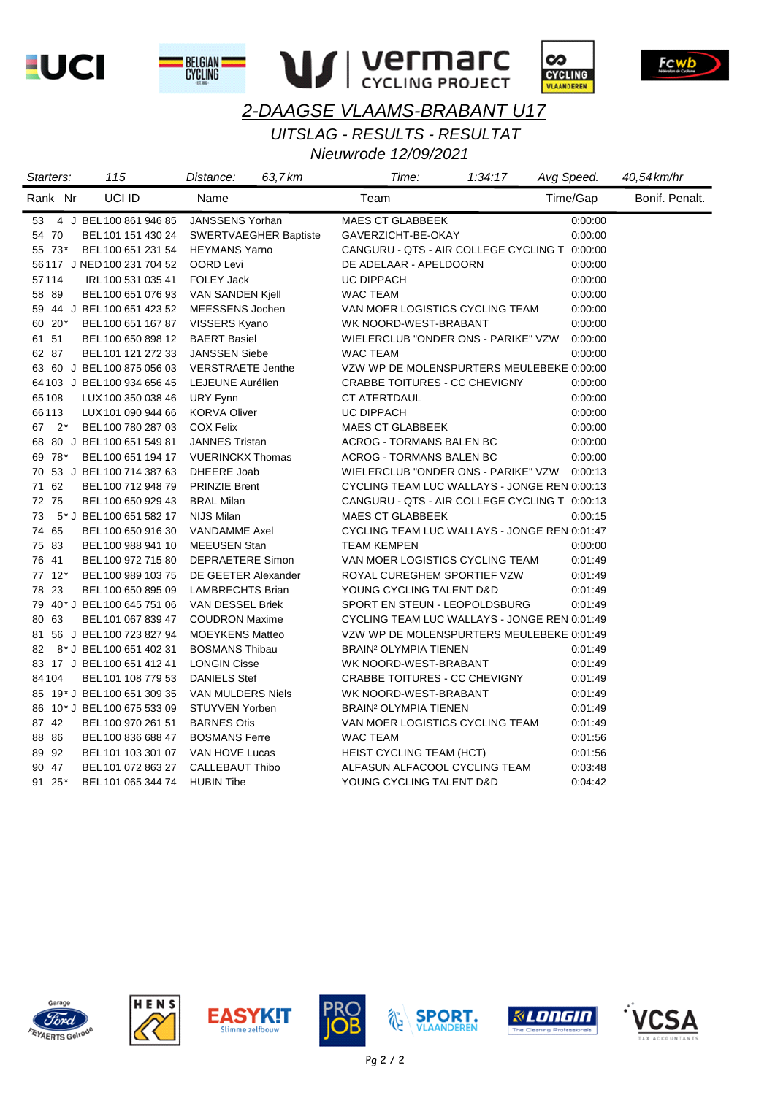**LUCI** 







# Fcwb

# *2-DAAGSE VLAAMS-BRABANT U17*

*UITSLAG - RESULTS - RESULTAT*

| Starters:   | 115                         | Distance:                    | 63,7 km | Time:                                         | 1:34:17 | Avg Speed. | 40,54 km/hr    |
|-------------|-----------------------------|------------------------------|---------|-----------------------------------------------|---------|------------|----------------|
| Rank Nr     | UCI ID                      | Name                         |         | Team                                          |         | Time/Gap   | Bonif. Penalt. |
| 53          | 4 J BEL 100 861 946 85      | JANSSENS Yorhan              |         | <b>MAES CT GLABBEEK</b>                       |         | 0:00:00    |                |
| 54 70       | BEL 101 151 430 24          | <b>SWERTVAEGHER Baptiste</b> |         | GAVERZICHT-BE-OKAY                            |         | 0:00:00    |                |
| 55 73*      | BEL 100 651 231 54          | <b>HEYMANS Yarno</b>         |         | CANGURU - QTS - AIR COLLEGE CYCLING T 0:00:00 |         |            |                |
|             | 56 117 J NED 100 231 704 52 | OORD Levi                    |         | DE ADELAAR - APELDOORN                        |         | 0:00:00    |                |
| 57114       | IRL 100 531 035 41          | FOLEY Jack                   |         | UC DIPPACH                                    |         | 0:00:00    |                |
| 58 89       | BEL 100 651 076 93          | VAN SANDEN Kjell             |         | <b>WAC TEAM</b>                               |         | 0:00:00    |                |
|             | 59 44 J BEL 100 651 423 52  | MEESSENS Jochen              |         | VAN MOER LOGISTICS CYCLING TEAM               |         | 0:00:00    |                |
| 60 20*      | BEL 100 651 167 87          | VISSERS Kyano                |         | WK NOORD-WEST-BRABANT                         |         | 0:00:00    |                |
| 61 51       | BEL 100 650 898 12          | <b>BAERT Basiel</b>          |         | WIELERCLUB "ONDER ONS - PARIKE" VZW           |         | 0:00:00    |                |
| 62 87       | BEL 101 121 272 33          | <b>JANSSEN Siebe</b>         |         | WAC TEAM                                      |         | 0:00:00    |                |
|             | 63 60 J BEL 100 875 056 03  | <b>VERSTRAETE Jenthe</b>     |         | VZW WP DE MOLENSPURTERS MEULEBEKE 0:00:00     |         |            |                |
|             | 64 103 J BEL 100 934 656 45 | LEJEUNE Aurélien             |         | CRABBE TOITURES - CC CHEVIGNY                 |         | 0:00:00    |                |
| 65108       | LUX 100 350 038 46          | URY Fynn                     |         | CT ATERTDAUL                                  |         | 0:00:00    |                |
| 66113       | LUX 101 090 944 66          | <b>KORVA Oliver</b>          |         | UC DIPPACH                                    |         | 0:00:00    |                |
| 67<br>$2^*$ | BEL 100 780 287 03          | <b>COX Felix</b>             |         | <b>MAES CT GLABBEEK</b>                       |         | 0:00:00    |                |
|             | 68 80 J BEL 100 651 549 81  | <b>JANNES Tristan</b>        |         | ACROG - TORMANS BALEN BC                      |         | 0:00:00    |                |
| 69 78*      | BEL 100 651 194 17          | <b>VUERINCKX Thomas</b>      |         | <b>ACROG - TORMANS BALEN BC</b>               |         | 0:00:00    |                |
| 70          | 53 J BEL 100 714 387 63     | <b>DHEERE Joab</b>           |         | WIELERCLUB "ONDER ONS - PARIKE" VZW 0:00:13   |         |            |                |
| 71 62       | BEL 100 712 948 79          | <b>PRINZIE Brent</b>         |         | CYCLING TEAM LUC WALLAYS - JONGE REN 0:00:13  |         |            |                |
| 72 75       | BEL 100 650 929 43          | <b>BRAL Milan</b>            |         | CANGURU - QTS - AIR COLLEGE CYCLING T 0:00:13 |         |            |                |
| 73          | 5* J BEL 100 651 582 17     | <b>NIJS Milan</b>            |         | <b>MAES CT GLABBEEK</b>                       |         | 0:00:15    |                |
| 74 65       | BEL 100 650 916 30          | <b>VANDAMME Axel</b>         |         | CYCLING TEAM LUC WALLAYS - JONGE REN 0:01:47  |         |            |                |
| 75 83       | BEL 100 988 941 10          | <b>MEEUSEN Stan</b>          |         | <b>TEAM KEMPEN</b>                            |         | 0:00:00    |                |
| 76 41       | BEL 100 972 715 80          | <b>DEPRAETERE Simon</b>      |         | VAN MOER LOGISTICS CYCLING TEAM               |         | 0:01:49    |                |
| 77 12*      | BEL 100 989 103 75          | DE GEETER Alexander          |         | ROYAL CUREGHEM SPORTIEF VZW                   |         | 0:01:49    |                |
| 78 23       | BEL 100 650 895 09          | <b>LAMBRECHTS Brian</b>      |         | YOUNG CYCLING TALENT D&D                      |         | 0:01:49    |                |
|             | 79 40* J BEL 100 645 751 06 | VAN DESSEL Briek             |         | SPORT EN STEUN - LEOPOLDSBURG                 |         | 0.01:49    |                |
| 80 63       | BEL 101 067 839 47          | <b>COUDRON Maxime</b>        |         | CYCLING TEAM LUC WALLAYS - JONGE REN 0:01:49  |         |            |                |
|             | 81 56 J BEL 100 723 827 94  | <b>MOEYKENS Matteo</b>       |         | VZW WP DE MOLENSPURTERS MEULEBEKE 0:01:49     |         |            |                |
| 82          | 8* J BEL 100 651 402 31     | <b>BOSMANS Thibau</b>        |         | <b>BRAIN<sup>2</sup> OLYMPIA TIENEN</b>       |         | 0.01:49    |                |
|             | 83 17 J BEL 100 651 412 41  | <b>LONGIN Cisse</b>          |         | WK NOORD-WEST-BRABANT                         |         | 0:01:49    |                |
| 84104       | BEL 101 108 779 53          | <b>DANIELS Stef</b>          |         | CRABBE TOITURES - CC CHEVIGNY                 |         | 0:01:49    |                |
|             | 85 19* J BEL 100 651 309 35 | VAN MULDERS Niels            |         | WK NOORD-WEST-BRABANT                         |         | 0:01:49    |                |
|             | 86 10* J BEL 100 675 533 09 | <b>STUYVEN Yorben</b>        |         | <b>BRAIN<sup>2</sup> OLYMPIA TIENEN</b>       |         | 0:01:49    |                |
| 87 42       | BEL 100 970 261 51          | <b>BARNES Otis</b>           |         | VAN MOER LOGISTICS CYCLING TEAM               |         | 0:01:49    |                |
| 88 86       | BEL 100 836 688 47          | <b>BOSMANS Ferre</b>         |         | WAC TEAM                                      |         | 0:01:56    |                |
| 89 92       | BEL 101 103 301 07          | VAN HOVE Lucas               |         | <b>HEIST CYCLING TEAM (HCT)</b>               |         | 0:01:56    |                |
| 90 47       | BEL 101 072 863 27          | CALLEBAUT Thibo              |         | ALFASUN ALFACOOL CYCLING TEAM                 |         | 0:03:48    |                |
| 91 25*      | BEL 101 065 344 74          | <b>HUBIN Tibe</b>            |         | YOUNG CYCLING TALENT D&D                      |         | 0:04:42    |                |













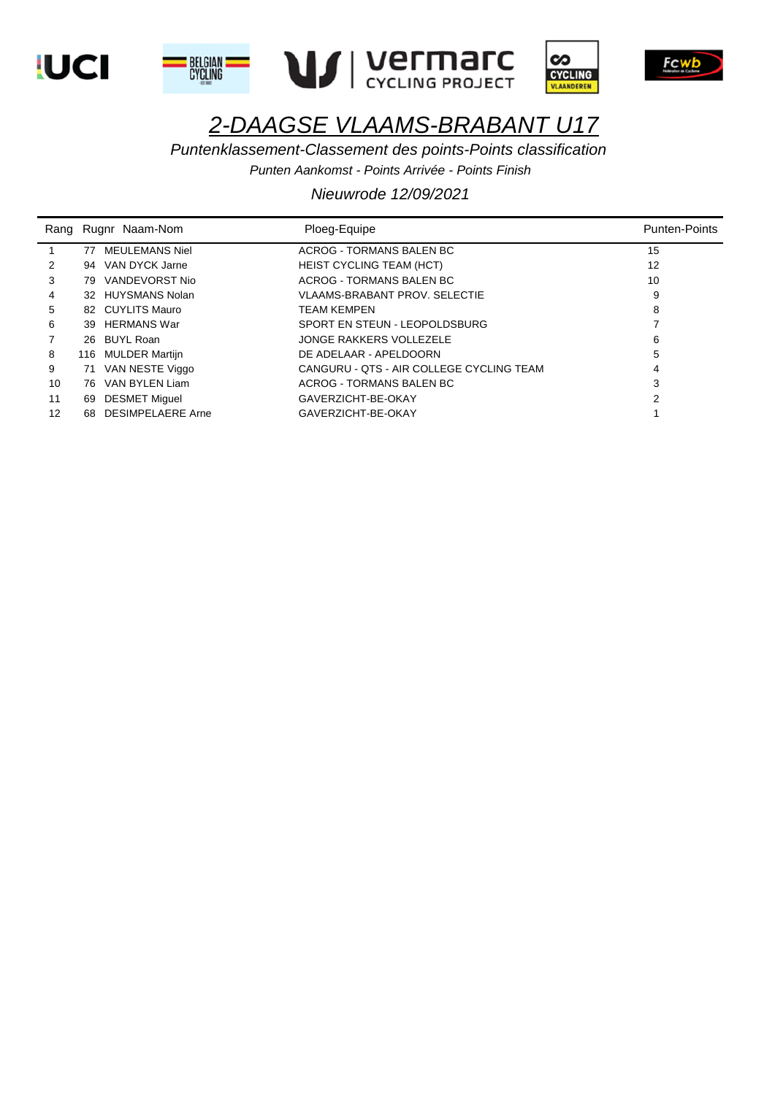









*Puntenklassement-Classement des points-Points classification*

*Punten Aankomst - Points Arrivée - Points Finish*

|    |    | Rang Rugnr Naam-Nom  | Ploeg-Equipe                             | <b>Punten-Points</b> |
|----|----|----------------------|------------------------------------------|----------------------|
|    | 77 | MEULEMANS Niel       | ACROG - TORMANS BALEN BC                 | 15                   |
| 2  |    | 94 VAN DYCK Jarne    | <b>HEIST CYCLING TEAM (HCT)</b>          | 12                   |
| 3  |    | 79 VANDEVORST Nio    | ACROG - TORMANS BALEN BC                 | 10                   |
| 4  |    | 32 HUYSMANS Nolan    | <b>VLAAMS-BRABANT PROV. SELECTIE</b>     | 9                    |
| 5  |    | 82 CUYLITS Mauro     | <b>TEAM KEMPEN</b>                       | 8                    |
| 6  |    | 39 HERMANS War       | SPORT EN STEUN - LEOPOLDSBURG            |                      |
|    |    | 26 BUYL Roan         | JONGE RAKKERS VOLLEZELE                  | 6                    |
| 8  |    | 116 MULDER Martijn   | DE ADELAAR - APELDOORN                   | 5                    |
| 9  |    | 71 VAN NESTE Viggo   | CANGURU - OTS - AIR COLLEGE CYCLING TEAM | 4                    |
| 10 |    | 76 VAN BYLEN Liam    | ACROG - TORMANS BALEN BC                 | 3                    |
| 11 |    | 69 DESMET Miguel     | GAVERZICHT-BE-OKAY                       |                      |
| 12 |    | 68 DESIMPELAERE Arne | GAVERZICHT-BE-OKAY                       |                      |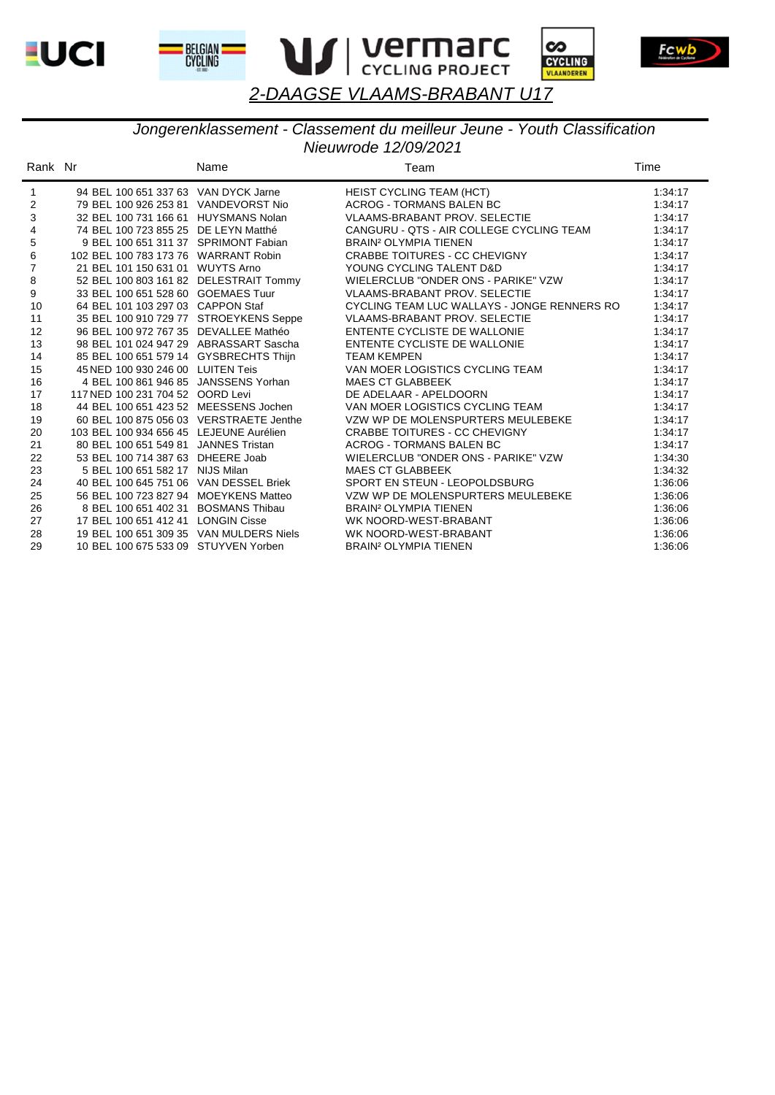







#### *Nieuwrode 12/09/2021 Jongerenklassement - Classement du meilleur Jeune - Youth Classification*

| Rank Nr        |                                         | Name                  | Team                                        | Time    |
|----------------|-----------------------------------------|-----------------------|---------------------------------------------|---------|
| $\mathbf{1}$   | 94 BEL 100 651 337 63 VAN DYCK Jarne    |                       | HEIST CYCLING TEAM (HCT)                    | 1:34:17 |
| $\overline{c}$ | 79 BEL 100 926 253 81 VANDEVORST Nio    |                       | <b>ACROG - TORMANS BALEN BC</b>             | 1:34:17 |
| 3              | 32 BEL 100 731 166 61 HUYSMANS Nolan    |                       | <b>VLAAMS-BRABANT PROV. SELECTIE</b>        | 1:34:17 |
| 4              | 74 BEL 100 723 855 25 DE LEYN Matthé    |                       | CANGURU - QTS - AIR COLLEGE CYCLING TEAM    | 1:34:17 |
| $\mathbf 5$    | 9 BEL 100 651 311 37 SPRIMONT Fabian    |                       | <b>BRAIN<sup>2</sup> OLYMPIA TIENEN</b>     | 1:34:17 |
| 6              | 102 BEL 100 783 173 76 WARRANT Robin    |                       | <b>CRABBE TOITURES - CC CHEVIGNY</b>        | 1:34:17 |
| $\overline{7}$ | 21 BEL 101 150 631 01 WUYTS Arno        |                       | YOUNG CYCLING TALENT D&D                    | 1:34:17 |
| $\bf 8$        | 52 BEL 100 803 161 82 DELESTRAIT Tommy  |                       | WIELERCLUB "ONDER ONS - PARIKE" VZW         | 1:34:17 |
| 9              | 33 BEL 100 651 528 60 GOEMAES Tuur      |                       | <b>VLAAMS-BRABANT PROV. SELECTIE</b>        | 1:34:17 |
| 10             | 64 BEL 101 103 297 03 CAPPON Staf       |                       | CYCLING TEAM LUC WALLAYS - JONGE RENNERS RO | 1:34:17 |
| 11             | 35 BEL 100 910 729 77 STROEYKENS Seppe  |                       | <b>VLAAMS-BRABANT PROV. SELECTIE</b>        | 1:34:17 |
| 12             | 96 BEL 100 972 767 35 DEVALLEE Mathéo   |                       | ENTENTE CYCLISTE DE WALLONIE                | 1:34:17 |
| 13             | 98 BEL 101 024 947 29 ABRASSART Sascha  |                       | ENTENTE CYCLISTE DE WALLONIE                | 1:34:17 |
| 14             | 85 BEL 100 651 579 14 GYSBRECHTS Thijn  |                       | <b>TEAM KEMPEN</b>                          | 1:34:17 |
| 15             | 45 NED 100 930 246 00 LUITEN Teis       |                       | VAN MOER LOGISTICS CYCLING TEAM             | 1:34:17 |
| 16             | 4 BEL 100 861 946 85                    | JANSSENS Yorhan       | <b>MAES CT GLABBEEK</b>                     | 1:34:17 |
| 17             | 117 NED 100 231 704 52 OORD Levi        |                       | DE ADELAAR - APELDOORN                      | 1:34:17 |
| 18             | 44 BEL 100 651 423 52 MEESSENS Jochen   |                       | VAN MOER LOGISTICS CYCLING TEAM             | 1:34:17 |
| 19             | 60 BEL 100 875 056 03 VERSTRAETE Jenthe |                       | VZW WP DE MOLENSPURTERS MEULEBEKE           | 1:34:17 |
| 20             | 103 BEL 100 934 656 45 LEJEUNE Aurélien |                       | <b>CRABBE TOITURES - CC CHEVIGNY</b>        | 1:34:17 |
| 21             | 80 BEL 100 651 549 81                   | <b>JANNES Tristan</b> | <b>ACROG - TORMANS BALEN BC</b>             | 1:34:17 |
| 22             | 53 BEL 100 714 387 63                   | DHEERE Joab           | WIELERCLUB "ONDER ONS - PARIKE" VZW         | 1:34:30 |
| 23             | 5 BEL 100 651 582 17 NIJS Milan         |                       | <b>MAES CT GLABBEEK</b>                     | 1:34:32 |
| 24             | 40 BEL 100 645 751 06 VAN DESSEL Briek  |                       | SPORT EN STEUN - LEOPOLDSBURG               | 1:36:06 |
| 25             | 56 BEL 100 723 827 94 MOEYKENS Matteo   |                       | VZW WP DE MOLENSPURTERS MEULEBEKE           | 1:36:06 |
| 26             | 8 BEL 100 651 402 31                    | <b>BOSMANS Thibau</b> | <b>BRAIN<sup>2</sup> OLYMPIA TIENEN</b>     | 1:36:06 |
| 27             | 17 BEL 100 651 412 41 LONGIN Cisse      |                       | WK NOORD-WEST-BRABANT                       | 1:36:06 |
| 28             | 19 BEL 100 651 309 35 VAN MULDERS Niels |                       | WK NOORD-WEST-BRABANT                       | 1:36:06 |
| 29             | 10 BEL 100 675 533 09 STUYVEN Yorben    |                       | <b>BRAIN<sup>2</sup> OLYMPIA TIENEN</b>     | 1:36:06 |

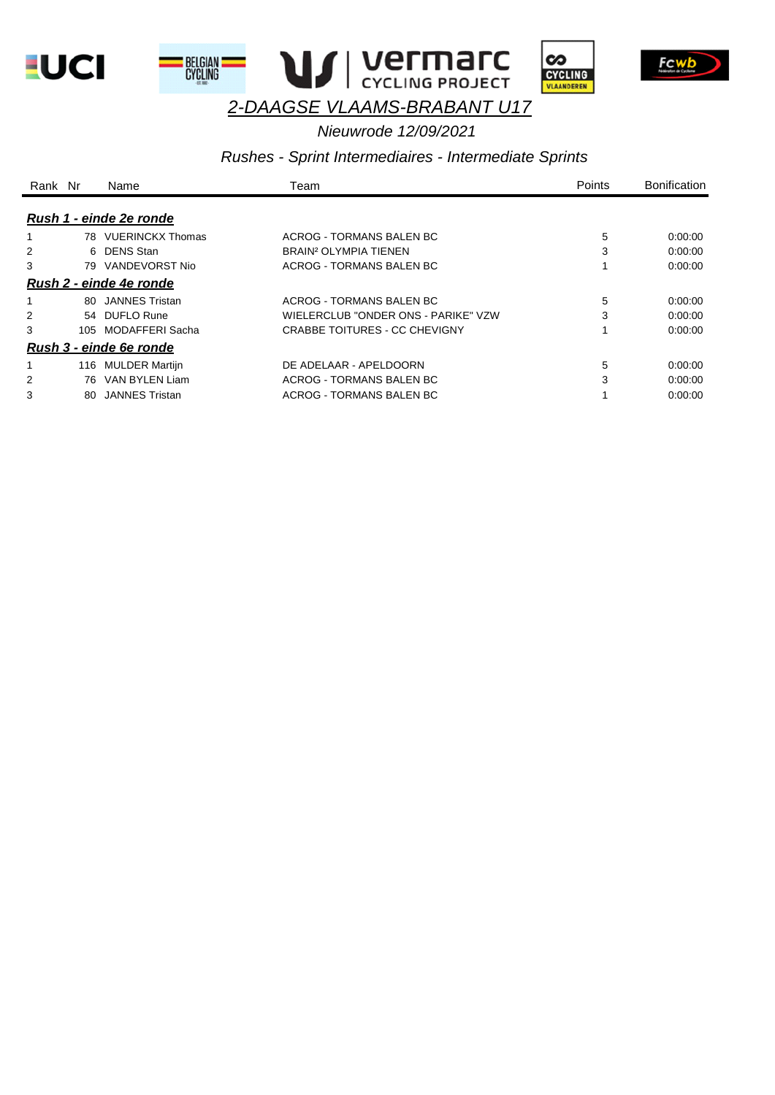









# *Nieuwrode 12/09/2021*

#### *Rushes - Sprint Intermediaires - Intermediate Sprints*

| Rank Nr |     | Name                           | Team                                | <b>Points</b> | <b>Bonification</b> |
|---------|-----|--------------------------------|-------------------------------------|---------------|---------------------|
|         |     | Rush 1 - einde 2e ronde        |                                     |               |                     |
|         |     | 78 VUERINCKX Thomas            | ACROG - TORMANS BALEN BC            | 5             | 0:00:00             |
|         |     | 6 DENS Stan                    | BRAIN <sup>2</sup> OLYMPIA TIENEN   | 3             | 0.00:00             |
| 3       | 79  | VANDEVORST Nio                 | ACROG - TORMANS BALEN BC            |               | 0:00:00             |
|         |     | <u>Rush 2 - einde 4e ronde</u> |                                     |               |                     |
|         |     | 80 JANNES Tristan              | ACROG - TORMANS BAI EN BC           | 5             | 0.00:00             |
| 2       |     | 54 DUFLO Rune                  | WIELERCLUB "ONDER ONS - PARIKE" VZW | 3             | 0:00:00             |
| 3       |     | 105 MODAFFERI Sacha            | CRABBE TOITURES - CC CHEVIGNY       |               | 0:00:00             |
|         |     | Rush 3 - einde 6e ronde        |                                     |               |                     |
|         | 116 | <b>MULDER Martijn</b>          | DE ADELAAR - APELDOORN              | 5             | 0.00:00             |
|         | 76. | VAN BYLEN Liam                 | ACROG - TORMANS BALEN BC            | 3             | 0.00:00             |
| 3       | 80. | <b>JANNES Tristan</b>          | ACROG - TORMANS BALEN BC            |               | 0:00:00             |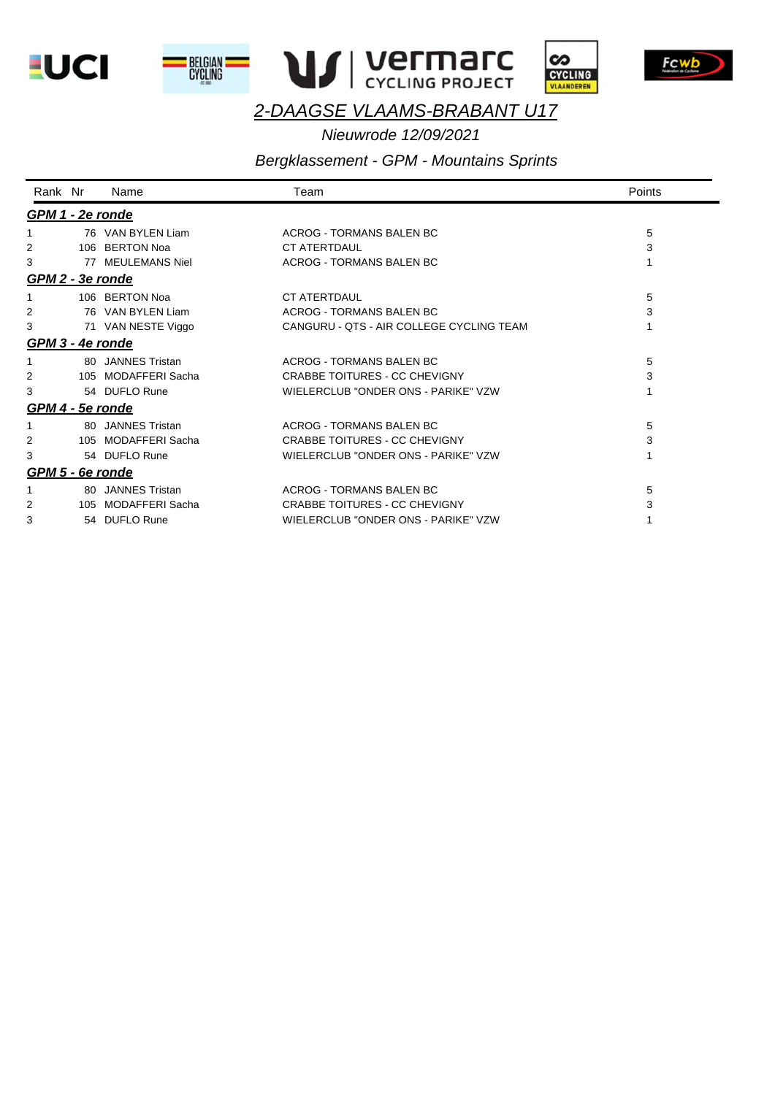









*Nieuwrode 12/09/2021* 

# *Bergklassement - GPM - Mountains Sprints*

| Rank Nr                 | Name                | Team                                     | Points |
|-------------------------|---------------------|------------------------------------------|--------|
| GPM 1 - 2e ronde        |                     |                                          |        |
|                         | 76 VAN BYLEN Liam   | ACROG - TORMANS BALEN BC                 | 5      |
| 2                       | 106 BERTON Noa      | <b>CT ATERTDAUL</b>                      | 3      |
| 3                       | 77 MEULEMANS Niel   | ACROG - TORMANS BALEN BC                 |        |
| GPM 2 - 3e ronde        |                     |                                          |        |
|                         | 106 BERTON Noa      | <b>CT ATERTDAUL</b>                      | 5      |
| 2                       | 76 VAN BYLEN Liam   | ACROG - TORMANS BALEN BC                 | 3      |
| 3                       | 71 VAN NESTE Viggo  | CANGURU - QTS - AIR COLLEGE CYCLING TEAM |        |
| GPM 3 - 4e ronde        |                     |                                          |        |
|                         | 80 JANNES Tristan   | ACROG - TORMANS BALEN BC                 | 5      |
| 2                       | 105 MODAFFERI Sacha | <b>CRABBE TOITURES - CC CHEVIGNY</b>     | 3      |
| 3                       | 54 DUFLO Rune       | WIELERCLUB "ONDER ONS - PARIKE" VZW      |        |
| <u>GPM 4 - 5e ronde</u> |                     |                                          |        |
|                         | 80 JANNES Tristan   | ACROG - TORMANS BALEN BC                 | 5      |
| 2                       | 105 MODAFFERI Sacha | <b>CRABBE TOITURES - CC CHEVIGNY</b>     | 3      |
| 3                       | 54 DUFLO Rune       | WIELERCLUB "ONDER ONS - PARIKE" VZW      |        |
| GPM 5 - 6e ronde        |                     |                                          |        |
|                         | 80 JANNES Tristan   | ACROG - TORMANS BALEN BC                 | 5      |
| 2                       | 105 MODAFFERI Sacha | <b>CRABBE TOITURES - CC CHEVIGNY</b>     | 3      |
| 3                       | 54 DUFLO Rune       | WIELERCLUB "ONDER ONS - PARIKE" VZW      |        |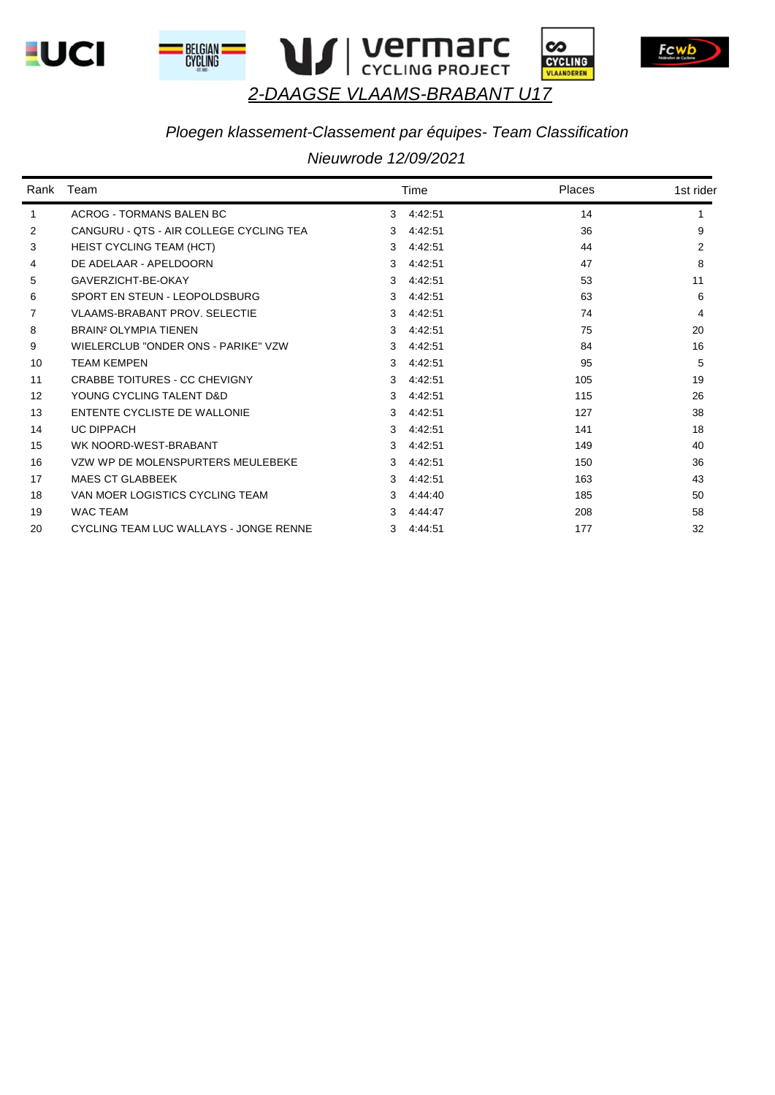









## *Ploegen klassement-Classement par équipes- Team Classification*

|                | Rank Team                               |   | Time    | <b>Places</b> | 1st rider |
|----------------|-----------------------------------------|---|---------|---------------|-----------|
| 1              | <b>ACROG - TORMANS BALEN BC</b>         | 3 | 4:42:51 | 14            |           |
| $\overline{2}$ | CANGURU - OTS - AIR COLLEGE CYCLING TEA | 3 | 4:42:51 | 36            | 9         |
| 3              | <b>HEIST CYCLING TEAM (HCT)</b>         | 3 | 4:42:51 | 44            | 2         |
| 4              | DE ADELAAR - APELDOORN                  | 3 | 4:42:51 | 47            | 8         |
| 5              | GAVERZICHT-BE-OKAY                      | 3 | 4:42:51 | 53            | 11        |
| 6              | SPORT EN STEUN - I FOPOLDSBURG          | 3 | 4:42:51 | 63            | 6         |
| 7              | <b>VLAAMS-BRABANT PROV. SELECTIE</b>    | 3 | 4:42:51 | 74            | 4         |
| 8              | <b>BRAIN<sup>2</sup> OLYMPIA TIENEN</b> | 3 | 4:42:51 | 75            | 20        |
| 9              | WIELERCLUB "ONDER ONS - PARIKE" VZW     | 3 | 4:42:51 | 84            | 16        |
| 10             | <b>TEAM KEMPEN</b>                      | 3 | 4:42:51 | 95            | 5         |
| 11             | <b>CRABBE TOITURES - CC CHEVIGNY</b>    | 3 | 4:42:51 | 105           | 19        |
| 12             | YOUNG CYCLING TALENT D&D                | 3 | 4:42:51 | 115           | 26        |
| 13             | ENTENTE CYCLISTE DE WALLONIE            | 3 | 4:42:51 | 127           | 38        |
| 14             | <b>UC DIPPACH</b>                       | 3 | 4:42:51 | 141           | 18        |
| 15             | WK NOORD-WEST-BRABANT                   | 3 | 4:42:51 | 149           | 40        |
| 16             | VZW WP DE MOLENSPURTERS MEULEBEKE       | 3 | 4:42:51 | 150           | 36        |
| 17             | <b>MAES CT GLABBEEK</b>                 | 3 | 4:42:51 | 163           | 43        |
| 18             | VAN MOER LOGISTICS CYCLING TEAM         | 3 | 4:44:40 | 185           | 50        |
| 19             | <b>WAC TEAM</b>                         | 3 | 4:44:47 | 208           | 58        |
| 20             | CYCLING TEAM LUC WALLAYS - JONGE RENNE  | 3 | 4:44:51 | 177           | 32        |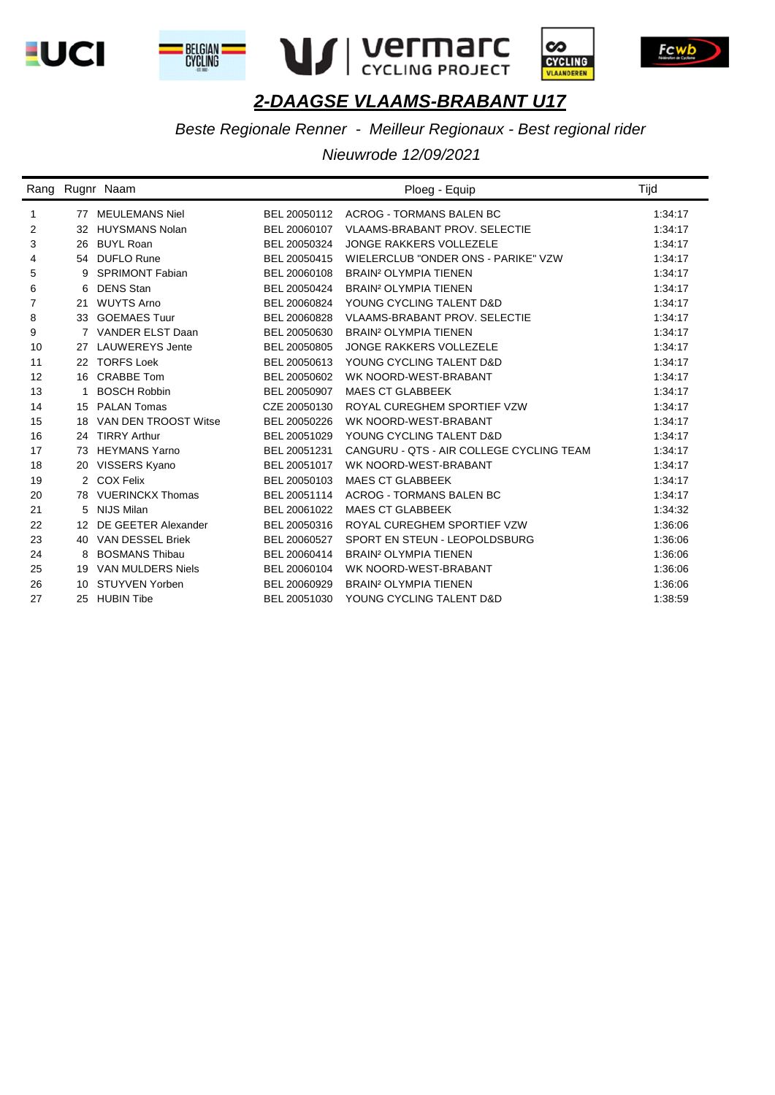









*Beste Regionale Renner - Meilleur Regionaux - Best regional rider*

|                |    | Rang Rugnr Naam          |              | Ploeg - Equip                            | Tijd    |
|----------------|----|--------------------------|--------------|------------------------------------------|---------|
| $\mathbf{1}$   | 77 | <b>MEULEMANS Niel</b>    | BEL 20050112 | ACROG - TORMANS BALEN BC                 | 1:34:17 |
| 2              | 32 | <b>HUYSMANS Nolan</b>    | BEL 20060107 | <b>VLAAMS-BRABANT PROV. SELECTIE</b>     | 1:34:17 |
| 3              |    | 26 BUYL Roan             | BEL 20050324 | JONGE RAKKERS VOLLEZELE                  | 1:34:17 |
| 4              |    | 54 DUFLO Rune            | BEL 20050415 | WIELERCLUB "ONDER ONS - PARIKE" VZW      | 1:34:17 |
| 5              | 9  | <b>SPRIMONT Fabian</b>   | BEL 20060108 | <b>BRAIN<sup>2</sup> OLYMPIA TIENEN</b>  | 1:34:17 |
| 6              | 6  | <b>DENS Stan</b>         | BEL 20050424 | <b>BRAIN<sup>2</sup> OLYMPIA TIENEN</b>  | 1:34:17 |
| $\overline{7}$ | 21 | <b>WUYTS Arno</b>        | BEL 20060824 | YOUNG CYCLING TALENT D&D                 | 1:34:17 |
| 8              | 33 | <b>GOEMAES Tuur</b>      | BEL 20060828 | <b>VLAAMS-BRABANT PROV. SELECTIE</b>     | 1:34:17 |
| 9              |    | 7 VANDER ELST Daan       | BEL 20050630 | <b>BRAIN<sup>2</sup> OLYMPIA TIENEN</b>  | 1:34:17 |
| 10             | 27 | <b>LAUWEREYS Jente</b>   | BEL 20050805 | <b>JONGE RAKKERS VOLLEZELE</b>           | 1:34:17 |
| 11             | 22 | <b>TORFS Loek</b>        | BEL 20050613 | YOUNG CYCLING TALENT D&D                 | 1:34:17 |
| 12             | 16 | <b>CRABBE Tom</b>        | BEL 20050602 | WK NOORD-WEST-BRABANT                    | 1:34:17 |
| 13             | 1  | <b>BOSCH Robbin</b>      | BEL 20050907 | <b>MAES CT GLABBEEK</b>                  | 1:34:17 |
| 14             | 15 | <b>PALAN Tomas</b>       | CZE 20050130 | ROYAL CUREGHEM SPORTIEF VZW              | 1:34:17 |
| 15             | 18 | VAN DEN TROOST Witse     | BEL 20050226 | WK NOORD-WEST-BRABANT                    | 1:34:17 |
| 16             |    | 24 TIRRY Arthur          | BEL 20051029 | YOUNG CYCLING TALENT D&D                 | 1:34:17 |
| 17             | 73 | <b>HEYMANS Yarno</b>     | BEL 20051231 | CANGURU - QTS - AIR COLLEGE CYCLING TEAM | 1:34:17 |
| 18             |    | 20 VISSERS Kyano         | BEL 20051017 | WK NOORD-WEST-BRABANT                    | 1:34:17 |
| 19             |    | 2 COX Felix              | BEL 20050103 | <b>MAES CT GLABBEEK</b>                  | 1:34:17 |
| 20             |    | 78 VUERINCKX Thomas      | BEL 20051114 | <b>ACROG - TORMANS BALEN BC</b>          | 1:34:17 |
| 21             | 5  | <b>NIJS Milan</b>        | BEL 20061022 | <b>MAES CT GLABBEEK</b>                  | 1:34:32 |
| 22             | 12 | DE GEETER Alexander      | BEL 20050316 | ROYAL CUREGHEM SPORTIEF VZW              | 1:36:06 |
| 23             |    | 40 VAN DESSEL Briek      | BEL 20060527 | SPORT EN STEUN - LEOPOLDSBURG            | 1:36:06 |
| 24             | 8  | <b>BOSMANS Thibau</b>    | BEL 20060414 | <b>BRAIN<sup>2</sup> OLYMPIA TIENEN</b>  | 1:36:06 |
| 25             | 19 | <b>VAN MULDERS Niels</b> | BEL 20060104 | WK NOORD-WEST-BRABANT                    | 1:36:06 |
| 26             | 10 | STUYVEN Yorben           | BEL 20060929 | <b>BRAIN<sup>2</sup> OLYMPIA TIENEN</b>  | 1:36:06 |
| 27             | 25 | <b>HUBIN Tibe</b>        | BEL 20051030 | YOUNG CYCLING TALENT D&D                 | 1:38:59 |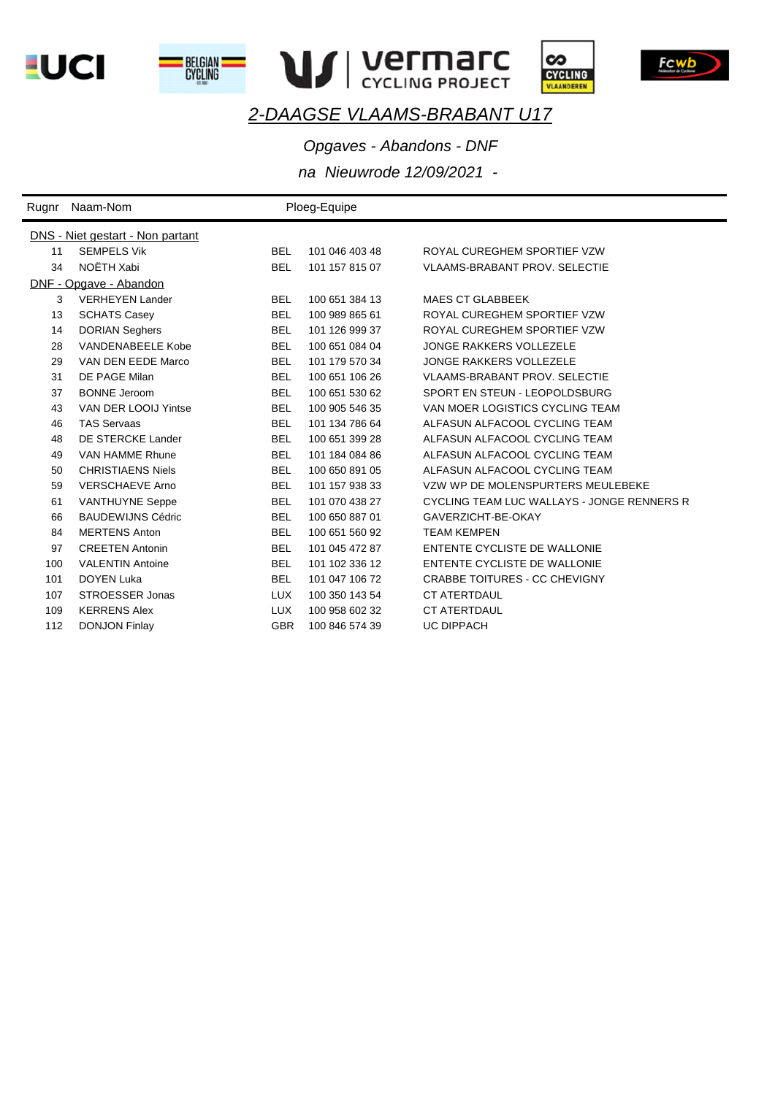









*Opgaves - Abandons - DNF*

| Rugnr | Naam-Nom                         |            | Ploeg-Equipe   |                                            |
|-------|----------------------------------|------------|----------------|--------------------------------------------|
|       | DNS - Niet gestart - Non partant |            |                |                                            |
| 11    | <b>SEMPELS Vik</b>               | <b>BEL</b> | 101 046 403 48 | ROYAL CUREGHEM SPORTIEF VZW                |
| 34    | NOËTH Xabi                       | <b>BEL</b> | 101 157 815 07 | <b>VLAAMS-BRABANT PROV. SELECTIE</b>       |
|       | DNF - Opgave - Abandon           |            |                |                                            |
| 3     | <b>VERHEYEN Lander</b>           | <b>BEL</b> | 100 651 384 13 | <b>MAES CT GLABBEEK</b>                    |
| 13    | <b>SCHATS Casey</b>              | <b>BEL</b> | 100 989 865 61 | ROYAL CUREGHEM SPORTIEF VZW                |
| 14    | <b>DORIAN Seghers</b>            | <b>BEL</b> | 101 126 999 37 | ROYAL CUREGHEM SPORTIEF VZW                |
| 28    | <b>VANDENABEELE Kobe</b>         | <b>BEL</b> | 100 651 084 04 | <b>JONGE RAKKERS VOLLEZELE</b>             |
| 29    | VAN DEN EEDE Marco               | <b>BEL</b> | 101 179 570 34 | <b>JONGE RAKKERS VOLLEZELE</b>             |
| 31    | DE PAGE Milan                    | <b>BEL</b> | 100 651 106 26 | <b>VLAAMS-BRABANT PROV. SELECTIE</b>       |
| 37    | <b>BONNE</b> Jeroom              | <b>BEL</b> | 100 651 530 62 | SPORT EN STEUN - LEOPOLDSBURG              |
| 43    | VAN DER LOOIJ Yintse             | <b>BEL</b> | 100 905 546 35 | VAN MOER LOGISTICS CYCLING TEAM            |
| 46    | <b>TAS Servaas</b>               | <b>BEL</b> | 101 134 786 64 | ALFASUN ALFACOOL CYCLING TEAM              |
| 48    | DE STERCKE Lander                | <b>BEL</b> | 100 651 399 28 | ALFASUN ALFACOOL CYCLING TEAM              |
| 49    | VAN HAMME Rhune                  | <b>BEL</b> | 101 184 084 86 | ALFASUN ALFACOOL CYCLING TEAM              |
| 50    | <b>CHRISTIAENS Niels</b>         | <b>BEL</b> | 100 650 891 05 | ALFASUN ALFACOOL CYCLING TEAM              |
| 59    | <b>VERSCHAEVE Arno</b>           | <b>BEL</b> | 101 157 938 33 | VZW WP DE MOLENSPURTERS MEULEBEKE          |
| 61    | <b>VANTHUYNE Seppe</b>           | <b>BEL</b> | 101 070 438 27 | CYCLING TEAM LUC WALLAYS - JONGE RENNERS R |
| 66    | <b>BAUDEWIJNS Cédric</b>         | <b>BEL</b> | 100 650 887 01 | GAVERZICHT-BE-OKAY                         |
| 84    | <b>MERTENS Anton</b>             | <b>BEL</b> | 100 651 560 92 | <b>TEAM KEMPEN</b>                         |
| 97    | <b>CREETEN Antonin</b>           | <b>BEL</b> | 101 045 472 87 | ENTENTE CYCLISTE DE WALLONIE               |
| 100   | <b>VALENTIN Antoine</b>          | <b>BEL</b> | 101 102 336 12 | ENTENTE CYCLISTE DE WALLONIE               |
| 101   | <b>DOYEN Luka</b>                | <b>BEL</b> | 101 047 106 72 | <b>CRABBE TOITURES - CC CHEVIGNY</b>       |
| 107   | STROESSER Jonas                  | <b>LUX</b> | 100 350 143 54 | CT ATERTDAUL                               |
| 109   | <b>KERRENS Alex</b>              | <b>LUX</b> | 100 958 602 32 | <b>CT ATERTDAUL</b>                        |
| 112   | <b>DONJON Finlay</b>             | <b>GBR</b> | 100 846 574 39 | <b>UC DIPPACH</b>                          |
|       |                                  |            |                |                                            |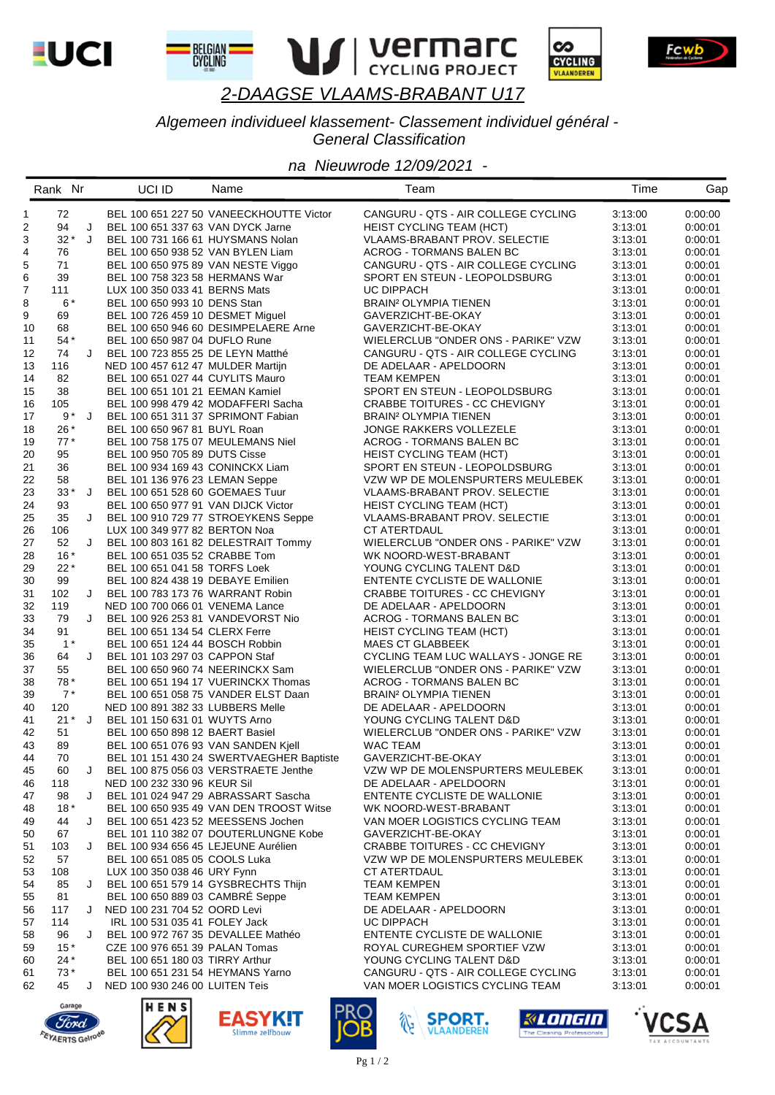

BELGIAN I<br>CYCLING





Fcwb

## 2-DAAGSE VLAAMS-BRABANT U17

### Algemeen individueel klassement- Classement individuel général -**General Classification**

#### na Nieuwrode 12/09/2021 -

|              | Rank Nr  |   | UCI ID                              | Name                                     | Team                                    | Time    | Gap                |
|--------------|----------|---|-------------------------------------|------------------------------------------|-----------------------------------------|---------|--------------------|
| $\mathbf{1}$ | 72       |   |                                     | BEL 100 651 227 50 VANEECKHOUTTE Victor  | CANGURU - QTS - AIR COLLEGE CYCLING     | 3:13:00 | 0:00:00            |
| 2            | 94       | J | BEL 100 651 337 63 VAN DYCK Jarne   |                                          | <b>HEIST CYCLING TEAM (HCT)</b>         | 3:13:01 | 0:00:01            |
| 3            | $32 * J$ |   | BEL 100 731 166 61 HUYSMANS Nolan   |                                          | VLAAMS-BRABANT PROV. SELECTIE           | 3:13:01 | 0:00:01            |
| 4            | 76       |   | BEL 100 650 938 52 VAN BYLEN Liam   |                                          | ACROG - TORMANS BALEN BC                | 3:13:01 | 0:00:01            |
| 5            | 71       |   | BEL 100 650 975 89 VAN NESTE Viggo  |                                          | CANGURU - QTS - AIR COLLEGE CYCLING     | 3:13:01 | 0:00:01            |
| 6            | 39       |   | BEL 100 758 323 58 HERMANS War      |                                          | SPORT EN STEUN - LEOPOLDSBURG           | 3:13:01 | 0:00:01            |
| 7            | 111      |   |                                     |                                          | UC DIPPACH                              |         |                    |
|              |          |   | LUX 100 350 033 41 BERNS Mats       |                                          |                                         | 3:13:01 | 0:00:01            |
| 8            | $6*$     |   | BEL 100 650 993 10 DENS Stan        |                                          | BRAIN <sup>2</sup> OLYMPIA TIENEN       | 3:13:01 | 0:00:01            |
| 9            | 69       |   | BEL 100 726 459 10 DESMET Miguel    |                                          | GAVERZICHT-BE-OKAY                      | 3:13:01 | 0:00:01<br>0:00:01 |
| 10           | 68       |   |                                     | BEL 100 650 946 60 DESIMPELAERE Arne     | GAVERZICHT-BE-OKAY                      | 3:13:01 |                    |
| 11           | 54 *     |   | BEL 100 650 987 04 DUFLO Rune       |                                          | WIELERCLUB "ONDER ONS - PARIKE" VZW     | 3:13:01 | 0:00:01            |
| 12           | 74       | J | BEL 100 723 855 25 DE LEYN Matthé   |                                          | CANGURU - QTS - AIR COLLEGE CYCLING     | 3:13:01 | 0:00:01            |
| 13           | 116      |   | NED 100 457 612 47 MULDER Martijn   |                                          | DE ADELAAR - APELDOORN                  | 3:13:01 | 0:00:01            |
| 14           | 82       |   | BEL 100 651 027 44 CUYLITS Mauro    |                                          | <b>TEAM KEMPEN</b>                      | 3:13:01 | 0:00:01            |
| 15           | 38       |   | BEL 100 651 101 21 EEMAN Kamiel     |                                          | SPORT EN STEUN - LEOPOLDSBURG           | 3:13:01 | 0:00:01            |
| 16           | 105      |   | BEL 100 998 479 42 MODAFFERI Sacha  |                                          | CRABBE TOITURES - CC CHEVIGNY           | 3:13:01 | 0:00:01            |
| 17           | $9*J$    |   | BEL 100 651 311 37 SPRIMONT Fabian  |                                          | <b>BRAIN<sup>2</sup> OLYMPIA TIENEN</b> | 3:13:01 | 0:00:01            |
| 18           | $26*$    |   | BEL 100 650 967 81 BUYL Roan        |                                          | JONGE RAKKERS VOLLEZELE                 | 3:13:01 | 0:00:01            |
| 19           | $77*$    |   | BEL 100 758 175 07 MEULEMANS Niel   |                                          | ACROG - TORMANS BALEN BC                | 3:13:01 | 0:00:01            |
| 20           | 95       |   | BEL 100 950 705 89 DUTS Cisse       |                                          | <b>HEIST CYCLING TEAM (HCT)</b>         | 3:13:01 | 0:00:01            |
| 21           | 36       |   | BEL 100 934 169 43 CONINCKX Liam    |                                          | SPORT EN STEUN - LEOPOLDSBURG           | 3:13:01 | 0:00:01            |
| 22           | 58       |   | BEL 101 136 976 23 LEMAN Seppe      |                                          | VZW WP DE MOLENSPURTERS MEULEBEK        | 3:13:01 | 0:00:01            |
| 23           | $33*$ J  |   | BEL 100 651 528 60 GOEMAES Tuur     |                                          | VLAAMS-BRABANT PROV. SELECTIE           | 3:13:01 | 0:00:01            |
| 24           | 93       |   | BEL 100 650 977 91 VAN DIJCK Victor |                                          | HEIST CYCLING TEAM (HCT)                | 3:13:01 | 0:00:01            |
| 25           | 35       | J |                                     | BEL 100 910 729 77 STROEYKENS Seppe      | VLAAMS-BRABANT PROV. SELECTIE           | 3:13:01 | 0:00:01            |
| 26           | 106      |   | LUX 100 349 977 82 BERTON Noa       |                                          | CT ATERTDAUL                            | 3:13:01 | 0:00:01            |
| 27           | 52       | J |                                     | BEL 100 803 161 82 DELESTRAIT Tommy      | WIELERCLUB "ONDER ONS - PARIKE" VZW     | 3:13:01 | 0:00:01            |
| 28           | $16*$    |   | BEL 100 651 035 52 CRABBE Tom       |                                          | WK NOORD-WEST-BRABANT                   | 3:13:01 | 0:00:01            |
| 29           | $22*$    |   | BEL 100 651 041 58 TORFS Loek       |                                          | YOUNG CYCLING TALENT D&D                | 3:13:01 | 0:00:01            |
| 30           | 99       |   | BEL 100 824 438 19 DEBAYE Emilien   |                                          | ENTENTE CYCLISTE DE WALLONIE            | 3:13:01 | 0:00:01            |
| 31           | 102      | J | BEL 100 783 173 76 WARRANT Robin    |                                          | CRABBE TOITURES - CC CHEVIGNY           | 3:13:01 | 0:00:01            |
| 32           | 119      |   | NED 100 700 066 01 VENEMA Lance     |                                          | DE ADELAAR - APELDOORN                  | 3:13:01 | 0:00:01            |
| 33           | 79       | J | BEL 100 926 253 81 VANDEVORST Nio   |                                          | ACROG - TORMANS BALEN BC                | 3:13:01 | 0:00:01            |
| 34           | 91       |   | BEL 100 651 134 54 CLERX Ferre      |                                          | HEIST CYCLING TEAM (HCT)                | 3:13:01 | 0:00:01            |
| 35           | $1^*$    |   | BEL 100 651 124 44 BOSCH Robbin     |                                          | <b>MAES CT GLABBEEK</b>                 | 3:13:01 | 0:00:01            |
| 36           | 64       | J | BEL 101 103 297 03 CAPPON Staf      |                                          | CYCLING TEAM LUC WALLAYS - JONGE RE     | 3:13:01 | 0:00:01            |
| 37           | 55       |   | BEL 100 650 960 74 NEERINCKX Sam    |                                          | WIELERCLUB "ONDER ONS - PARIKE" VZW     | 3:13:01 | 0:00:01            |
| 38           | 78 *     |   |                                     | BEL 100 651 194 17 VUERINCKX Thomas      | ACROG - TORMANS BALEN BC                | 3:13:01 | 0:00:01            |
| 39           | $7^*$    |   |                                     | BEL 100 651 058 75 VANDER ELST Daan      | <b>BRAIN<sup>2</sup> OLYMPIA TIENEN</b> | 3:13:01 | 0:00:01            |
| 40           | 120      |   | NED 100 891 382 33 LUBBERS Melle    |                                          | DE ADELAAR - APELDOORN                  | 3:13:01 | 0:00:01            |
| 41           | $21^*$ J |   | BEL 101 150 631 01 WUYTS Arno       |                                          | YOUNG CYCLING TALENT D&D                | 3:13:01 | 0:00:01            |
| 42           | 51       |   | BEL 100 650 898 12 BAERT Basiel     |                                          | WIELERCLUB "ONDER ONS - PARIKE" VZW     | 3:13:01 | 0:00:01            |
| 43           | 89       |   | BEL 100 651 076 93 VAN SANDEN Kjell |                                          | <b>WAC TEAM</b>                         | 3:13:01 | 0:00:01            |
| 44           | 70       |   |                                     | BEL 101 151 430 24 SWERTVAEGHER Baptiste | GAVERZICHT-BE-OKAY                      | 3:13:01 | 0:00:01            |
| 45           | 60       | J |                                     | BEL 100 875 056 03 VERSTRAETE Jenthe     | VZW WP DE MOLENSPURTERS MEULEBEK        | 3:13:01 | 0:00:01            |
| 46           | 118      |   | NED 100 232 330 96 KEUR Sil         |                                          | DE ADELAAR - APELDOORN                  | 3:13:01 | 0:00:01            |
| 47           | 98       | J |                                     | BEL 101 024 947 29 ABRASSART Sascha      | ENTENTE CYCLISTE DE WALLONIE            | 3:13:01 | 0:00:01            |
| 48           | $18*$    |   |                                     | BEL 100 650 935 49 VAN DEN TROOST Witse  | WK NOORD-WEST-BRABANT                   | 3:13:01 | 0:00:01            |
| 49           | 44       | J | BEL 100 651 423 52 MEESSENS Jochen  |                                          | VAN MOER LOGISTICS CYCLING TEAM         | 3:13:01 | 0:00:01            |
| 50           | 67       |   |                                     | BEL 101 110 382 07 DOUTERLUNGNE Kobe     | GAVERZICHT-BE-OKAY                      | 3:13:01 | 0:00:01            |
| 51           | 103      | J | BEL 100 934 656 45 LEJEUNE Aurélien |                                          | <b>CRABBE TOITURES - CC CHEVIGNY</b>    | 3:13:01 | 0:00:01            |
| 52           | 57       |   | BEL 100 651 085 05 COOLS Luka       |                                          | VZW WP DE MOLENSPURTERS MEULEBEK        | 3:13:01 | 0:00:01            |
| 53           | 108      |   | LUX 100 350 038 46 URY Fynn         |                                          | CT ATERTDAUL                            | 3:13:01 | 0:00:01            |
| 54           | 85       | J |                                     | BEL 100 651 579 14 GYSBRECHTS Thijn      | <b>TEAM KEMPEN</b>                      | 3:13:01 | 0.00:01            |
| 55           | 81       |   | BEL 100 650 889 03 CAMBRÉ Seppe     |                                          | TEAM KEMPEN                             | 3:13:01 | 0:00:01            |
| 56           | 117      | J | NED 100 231 704 52 OORD Levi        |                                          | DE ADELAAR - APELDOORN                  | 3:13:01 | 0:00:01            |
| 57           | 114      |   | IRL 100 531 035 41 FOLEY Jack       |                                          | UC DIPPACH                              | 3:13:01 | 0:00:01            |
| 58           | 96       | J | BEL 100 972 767 35 DEVALLEE Mathéo  |                                          | ENTENTE CYCLISTE DE WALLONIE            | 3:13:01 | 0:00:01            |
| 59           | $15*$    |   | CZE 100 976 651 39 PALAN Tomas      |                                          | ROYAL CUREGHEM SPORTIEF VZW             | 3:13:01 | 0.00:01            |
| 60           | $24*$    |   | BEL 100 651 180 03 TIRRY Arthur     |                                          | YOUNG CYCLING TALENT D&D                | 3:13:01 | 0:00:01            |
| 61           | $73*$    |   | BEL 100 651 231 54 HEYMANS Yarno    |                                          | CANGURU - QTS - AIR COLLEGE CYCLING     | 3:13:01 | 0:00:01            |
| 62           | 45       | J | NED 100 930 246 00 LUITEN Teis      |                                          | VAN MOER LOGISTICS CYCLING TEAM         | 3:13:01 | 0:00:01            |
|              |          |   |                                     |                                          |                                         |         |                    |







**EASYKIT** 

e zelfboi





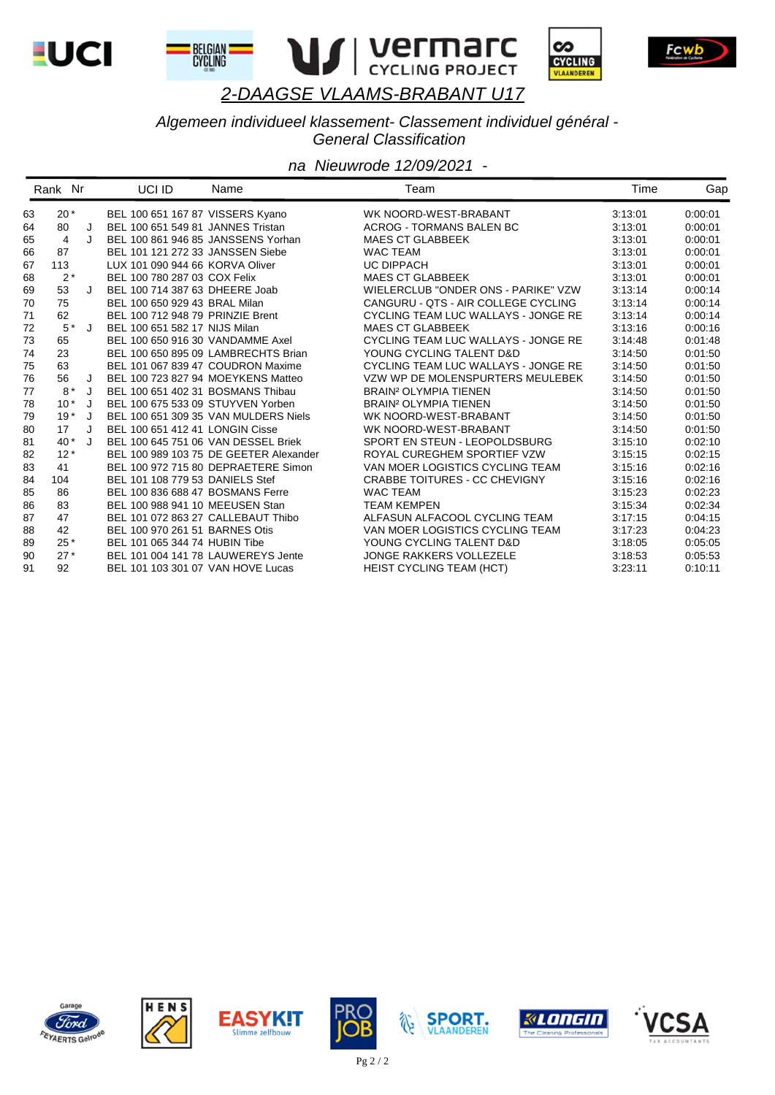

BELGIAN I<br>CYCLING





Fcwb

### *2-DAAGSE VLAAMS-BRABANT U17*

### *Algemeen individueel klassement- Classement individuel général - General Classification*

|    | Rank Nr |         | UCI ID                              | Name                                   | Team                                    | Time    | Gap     |
|----|---------|---------|-------------------------------------|----------------------------------------|-----------------------------------------|---------|---------|
| 63 | $20*$   |         | BEL 100 651 167 87 VISSERS Kyano    |                                        | WK NOORD-WEST-BRABANT                   | 3:13:01 | 0:00:01 |
| 64 | 80      | J       | BEL 100 651 549 81 JANNES Tristan   |                                        | <b>ACROG - TORMANS BALEN BC</b>         | 3:13:01 | 0:00:01 |
| 65 | 4       | J       | BEL 100 861 946 85 JANSSENS Yorhan  |                                        | <b>MAES CT GLABBEEK</b>                 | 3:13:01 | 0:00:01 |
| 66 | 87      |         | BEL 101 121 272 33 JANSSEN Siebe    |                                        | <b>WAC TEAM</b>                         | 3:13:01 | 0.00.01 |
| 67 | 113     |         | LUX 101 090 944 66 KORVA Oliver     |                                        | <b>UC DIPPACH</b>                       | 3:13:01 | 0.00.01 |
| 68 | $2*$    |         | BEL 100 780 287 03 COX Felix        |                                        | <b>MAES CT GLABBEEK</b>                 | 3:13:01 | 0:00:01 |
| 69 | 53      |         | BEL 100 714 387 63 DHEERE Joab      |                                        | WIELERCLUB "ONDER ONS - PARIKE" VZW     | 3:13:14 | 0:00:14 |
| 70 | 75      |         | BEL 100 650 929 43 BRAL Milan       |                                        | CANGURU - QTS - AIR COLLEGE CYCLING     | 3:13:14 | 0:00:14 |
| 71 | 62      |         | BEL 100 712 948 79 PRINZIE Brent    |                                        | CYCLING TEAM LUC WALLAYS - JONGE RE     | 3:13:14 | 0:00:14 |
| 72 | $5^*$ J |         | BEL 100 651 582 17 NIJS Milan       |                                        | <b>MAES CT GLABBEEK</b>                 | 3:13:16 | 0:00:16 |
| 73 | 65      |         | BEL 100 650 916 30 VANDAMME Axel    |                                        | CYCLING TEAM LUC WALLAYS - JONGE RE     | 3:14:48 | 0:01:48 |
| 74 | 23      |         |                                     | BEL 100 650 895 09 LAMBRECHTS Brian    | YOUNG CYCLING TALENT D&D                | 3:14:50 | 0:01:50 |
| 75 | 63      |         | BEL 101 067 839 47 COUDRON Maxime   |                                        | CYCLING TEAM LUC WALLAYS - JONGE RE     | 3:14:50 | 0:01:50 |
| 76 | 56      | J       | BEL 100 723 827 94 MOEYKENS Matteo  |                                        | VZW WP DE MOLENSPURTERS MEULEBEK        | 3:14:50 | 0:01:50 |
| 77 | $8*$    | J       | BEL 100 651 402 31 BOSMANS Thibau   |                                        | <b>BRAIN<sup>2</sup> OLYMPIA TIENEN</b> | 3:14:50 | 0:01:50 |
| 78 | $10*$   | J       | BEL 100 675 533 09 STUYVEN Yorben   |                                        | <b>BRAIN<sup>2</sup> OLYMPIA TIENEN</b> | 3:14:50 | 0:01:50 |
| 79 | $19*$   |         |                                     | BEL 100 651 309 35 VAN MULDERS Niels   | WK NOORD-WEST-BRABANT                   | 3:14:50 | 0:01:50 |
| 80 | 17      | $\cdot$ | BEL 100 651 412 41 LONGIN Cisse     |                                        | WK NOORD-WEST-BRABANT                   | 3:14:50 | 0:01:50 |
| 81 | $40*$   | J       | BEL 100 645 751 06 VAN DESSEL Briek |                                        | SPORT EN STEUN - LEOPOLDSBURG           | 3:15:10 | 0:02:10 |
| 82 | $12*$   |         |                                     | BEL 100 989 103 75 DE GEETER Alexander | ROYAL CUREGHEM SPORTIEF VZW             | 3:15:15 | 0:02:15 |
| 83 | 41      |         |                                     | BEL 100 972 715 80 DEPRAETERE Simon    | VAN MOER LOGISTICS CYCLING TEAM         | 3:15:16 | 0:02:16 |
| 84 | 104     |         | BEL 101 108 779 53 DANIELS Stef     |                                        | <b>CRABBE TOITURES - CC CHEVIGNY</b>    | 3:15:16 | 0:02:16 |
| 85 | 86      |         | BEL 100 836 688 47 BOSMANS Ferre    |                                        | <b>WAC TEAM</b>                         | 3:15:23 | 0:02:23 |
| 86 | 83      |         | BEL 100 988 941 10 MEEUSEN Stan     |                                        | <b>TEAM KEMPEN</b>                      | 3:15:34 | 0:02:34 |
| 87 | 47      |         | BEL 101 072 863 27 CALLEBAUT Thibo  |                                        | ALFASUN ALFACOOL CYCLING TEAM           | 3:17:15 | 0:04:15 |
| 88 | 42      |         | BEL 100 970 261 51 BARNES Otis      |                                        | VAN MOER LOGISTICS CYCLING TEAM         | 3:17:23 | 0:04:23 |
| 89 | $25*$   |         | BEL 101 065 344 74 HUBIN Tibe       |                                        | YOUNG CYCLING TALENT D&D                | 3:18:05 | 0:05:05 |
| 90 | $27*$   |         | BEL 101 004 141 78 LAUWEREYS Jente  |                                        | <b>JONGE RAKKERS VOLLEZELE</b>          | 3:18:53 | 0:05:53 |
| 91 | 92      |         | BEL 101 103 301 07 VAN HOVE Lucas   |                                        | <b>HEIST CYCLING TEAM (HCT)</b>         | 3:23:11 | 0:10:11 |













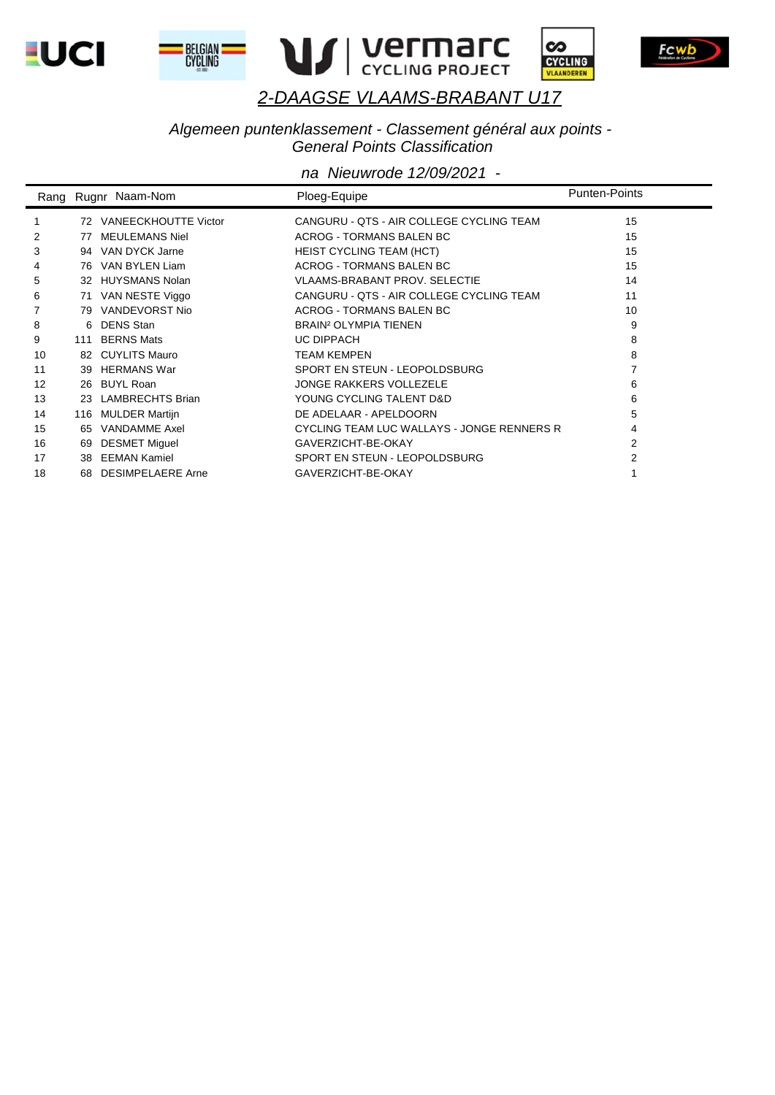









#### *Algemeen puntenklassement - Classement général aux points - General Points Classification*

|    |     | Rang Rugnr Naam-Nom         | Ploeg-Equipe                               | <b>Punten-Points</b> |
|----|-----|-----------------------------|--------------------------------------------|----------------------|
|    | 72  | <b>VANEECKHOUTTE Victor</b> | CANGURU - QTS - AIR COLLEGE CYCLING TEAM   | 15                   |
| 2  | 77  | <b>MEULEMANS Niel</b>       | <b>ACROG - TORMANS BALEN BC</b>            | 15                   |
| 3  |     | 94 VAN DYCK Jarne           | <b>HEIST CYCLING TEAM (HCT)</b>            | 15                   |
| 4  |     | 76 VAN BYLEN Liam           | ACROG - TORMANS BALEN BC                   | 15                   |
| 5  |     | 32 HUYSMANS Nolan           | <b>VLAAMS-BRABANT PROV. SELECTIE</b>       | 14                   |
| 6  | 71  | VAN NESTE Viggo             | CANGURU - QTS - AIR COLLEGE CYCLING TEAM   | 11                   |
|    |     | 79 VANDEVORST Nio           | <b>ACROG - TORMANS BALEN BC</b>            | 10                   |
| 8  |     | 6 DENS Stan                 | <b>BRAIN<sup>2</sup> OLYMPIA TIENEN</b>    | 9                    |
| 9  | 111 | <b>BERNS Mats</b>           | <b>UC DIPPACH</b>                          | 8                    |
| 10 |     | 82 CUYLITS Mauro            | <b>TEAM KEMPEN</b>                         | 8                    |
| 11 | 39  | <b>HERMANS War</b>          | SPORT EN STEUN - LEOPOLDSBURG              |                      |
| 12 |     | 26 BUYL Roan                | <b>JONGE RAKKERS VOLLEZELE</b>             | 6                    |
| 13 | 23  | <b>LAMBRECHTS Brian</b>     | YOUNG CYCLING TALENT D&D                   | 6                    |
| 14 | 116 | <b>MULDER Martijn</b>       | DE ADELAAR - APELDOORN                     | 5                    |
| 15 | 65  | VANDAMME Axel               | CYCLING TEAM LUC WALLAYS - JONGE RENNERS R | 4                    |
| 16 | 69  | <b>DESMET Miguel</b>        | GAVERZICHT-BE-OKAY                         | 2                    |
| 17 | 38  | EEMAN Kamiel                | SPORT EN STEUN - LEOPOLDSBURG              | 2                    |
| 18 | 68  | <b>DESIMPELAERE Arne</b>    | GAVERZICHT-BE-OKAY                         |                      |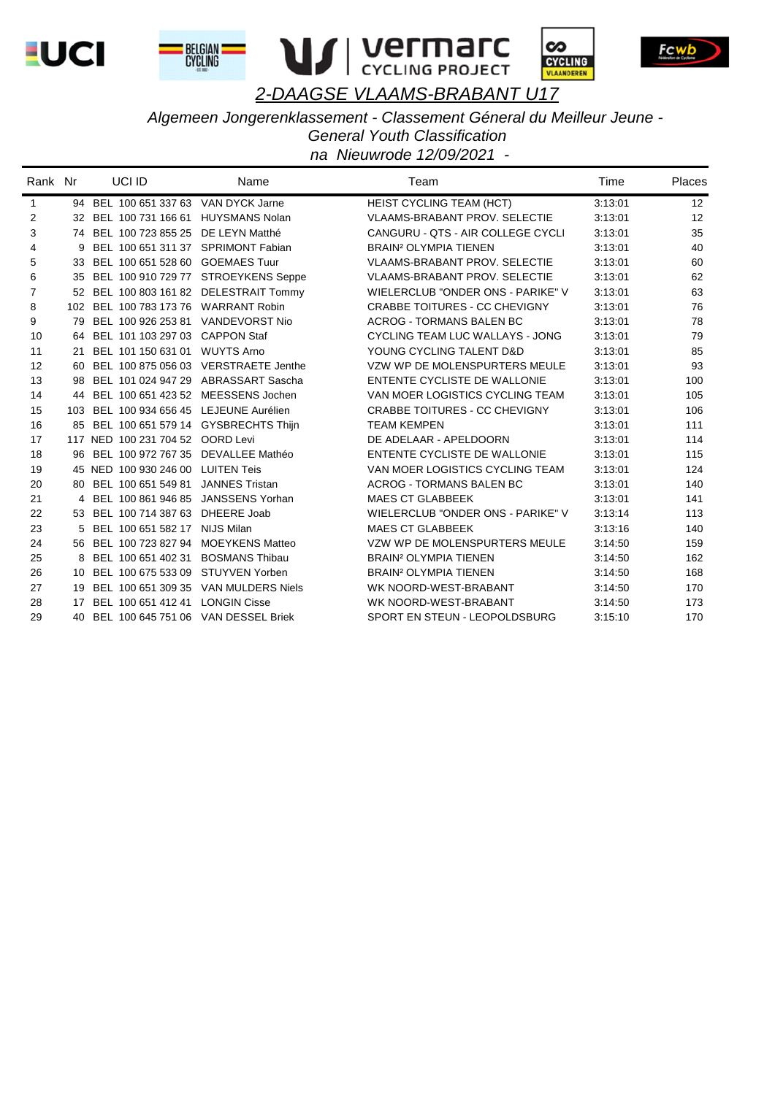









Algemeen Jongerenklassement - Classement Géneral du Meilleur Jeune -

**General Youth Classification** 

| Rank Nr      |   | UCI ID                                  | Name                                    | Team                                    | Time    | <b>Places</b> |
|--------------|---|-----------------------------------------|-----------------------------------------|-----------------------------------------|---------|---------------|
| $\mathbf{1}$ |   | 94 BEL 100 651 337 63 VAN DYCK Jarne    |                                         | HEIST CYCLING TEAM (HCT)                | 3:13:01 | 12            |
| 2            |   | 32 BEL 100 731 166 61 HUYSMANS Nolan    |                                         | <b>VLAAMS-BRABANT PROV. SELECTIE</b>    | 3:13:01 | 12            |
| 3            |   | 74 BEL 100 723 855 25 DE LEYN Matthé    |                                         | CANGURU - QTS - AIR COLLEGE CYCLI       | 3:13:01 | 35            |
| 4            | 9 | BEL 100 651 311 37 SPRIMONT Fabian      |                                         | <b>BRAIN<sup>2</sup> OLYMPIA TIENEN</b> | 3:13:01 | 40            |
| 5            |   | 33 BEL 100 651 528 60 GOEMAES Tuur      |                                         | <b>VLAAMS-BRABANT PROV. SELECTIE</b>    | 3:13:01 | 60            |
| 6            |   |                                         | 35 BEL 100 910 729 77 STROEYKENS Seppe  | <b>VLAAMS-BRABANT PROV. SELECTIE</b>    | 3:13:01 | 62            |
| 7            |   |                                         | 52 BEL 100 803 161 82 DELESTRAIT Tommy  | WIELERCLUB "ONDER ONS - PARIKE" V       | 3:13:01 | 63            |
| 8            |   | 102 BEL 100 783 173 76 WARRANT Robin    |                                         | <b>CRABBE TOITURES - CC CHEVIGNY</b>    | 3:13:01 | 76            |
| 9            |   | BEL 100 926 253 81 VANDEVORST Nio       |                                         | <b>ACROG - TORMANS BALEN BC</b>         | 3:13:01 | 78            |
| 10           |   | 64 BEL 101 103 297 03 CAPPON Staf       |                                         | CYCLING TEAM LUC WALLAYS - JONG         | 3:13:01 | 79            |
| 11           |   | 21 BEL 101 150 631 01 WUYTS Arno        |                                         | YOUNG CYCLING TALENT D&D                | 3:13:01 | 85            |
| 12           |   |                                         | 60 BEL 100 875 056 03 VERSTRAETE Jenthe | VZW WP DE MOLENSPURTERS MEULE           | 3:13:01 | 93            |
| 13           |   |                                         | 98 BEL 101 024 947 29 ABRASSART Sascha  | <b>ENTENTE CYCLISTE DE WALLONIE</b>     | 3:13:01 | 100           |
| 14           |   | 44 BEL 100 651 423 52 MEESSENS Jochen   |                                         | VAN MOER LOGISTICS CYCLING TEAM         | 3:13:01 | 105           |
| 15           |   | 103 BEL 100 934 656 45 LEJEUNE Aurélien |                                         | <b>CRABBE TOITURES - CC CHEVIGNY</b>    | 3:13:01 | 106           |
| 16           |   |                                         | 85 BEL 100 651 579 14 GYSBRECHTS Thijn  | <b>TEAM KEMPEN</b>                      | 3:13:01 | 111           |
| 17           |   | 117 NED 100 231 704 52 OORD Levi        |                                         | DE ADELAAR - APELDOORN                  | 3:13:01 | 114           |
| 18           |   | 96 BEL 100 972 767 35 DEVALLEE Mathéo   |                                         | ENTENTE CYCLISTE DE WALLONIE            | 3:13:01 | 115           |
| 19           |   | 45 NED 100 930 246 00 LUITEN Teis       |                                         | VAN MOER LOGISTICS CYCLING TEAM         | 3:13:01 | 124           |
| 20           |   | 80 BEL 100 651 549 81 JANNES Tristan    |                                         | <b>ACROG - TORMANS BALEN BC</b>         | 3:13:01 | 140           |
| 21           |   | 4 BEL 100 861 946 85 JANSSENS Yorhan    |                                         | <b>MAES CT GLABBEEK</b>                 | 3:13:01 | 141           |
| 22           |   | 53 BEL 100 714 387 63 DHEERE Joab       |                                         | WIELERCLUB "ONDER ONS - PARIKE" V       | 3:13:14 | 113           |
| 23           |   | 5 BEL 100 651 582 17 NIJS Milan         |                                         | <b>MAES CT GLABBEEK</b>                 | 3:13:16 | 140           |
| 24           |   | 56 BEL 100 723 827 94 MOEYKENS Matteo   |                                         | VZW WP DE MOLENSPURTERS MEULE           | 3:14:50 | 159           |
| 25           |   | 8 BEL 100 651 402 31 BOSMANS Thibau     |                                         | <b>BRAIN<sup>2</sup> OLYMPIA TIENEN</b> | 3:14:50 | 162           |
| 26           |   | 10 BEL 100 675 533 09 STUYVEN Yorben    |                                         | <b>BRAIN<sup>2</sup> OLYMPIA TIENEN</b> | 3:14:50 | 168           |
| 27           |   |                                         | 19 BEL 100 651 309 35 VAN MULDERS Niels | WK NOORD-WEST-BRABANT                   | 3:14:50 | 170           |
| 28           |   | 17 BEL 100 651 412 41 LONGIN Cisse      |                                         | WK NOORD-WEST-BRABANT                   | 3:14:50 | 173           |
| 29           |   | 40 BEL 100 645 751 06 VAN DESSEL Briek  |                                         | SPORT EN STEUN - LEOPOLDSBURG           | 3:15:10 | 170           |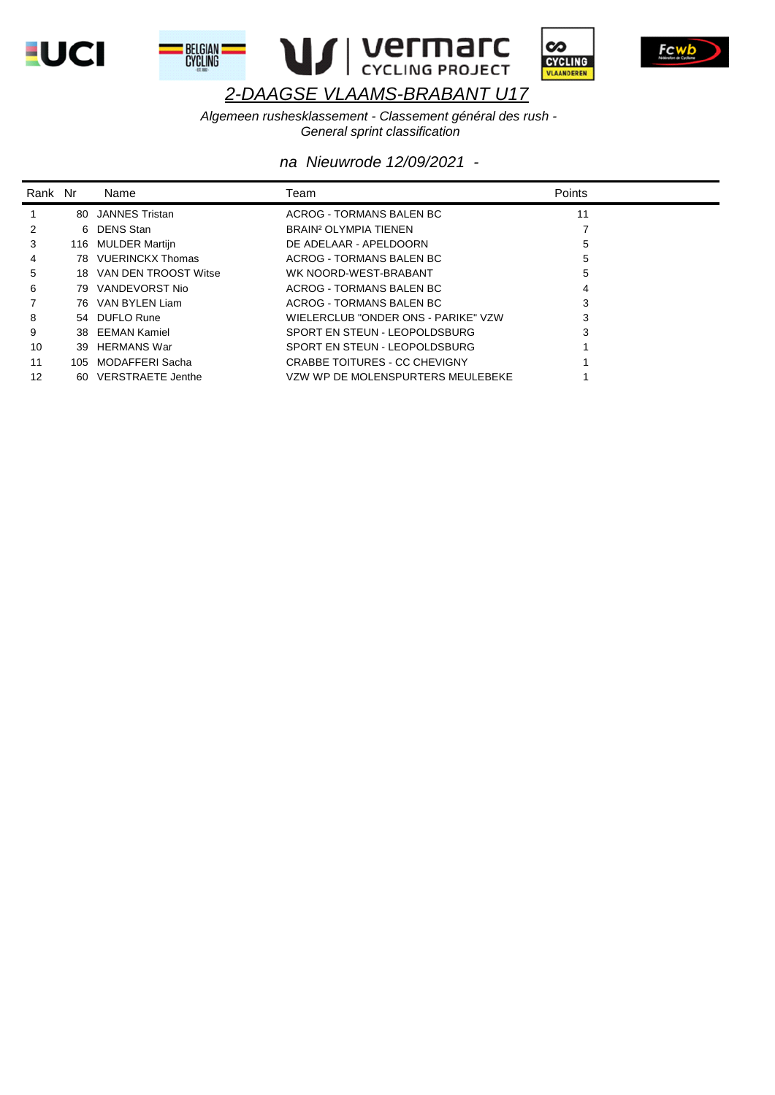







Fcwb

# 2-DAAGSE VLAAMS-BRABANT U17

Algemeen rushesklassement - Classement général des rush -General sprint classification

| Rank Nr |      | Name                    | Team                                | <b>Points</b> |
|---------|------|-------------------------|-------------------------------------|---------------|
|         | 80   | JANNES Tristan          | ACROG - TORMANS BALEN BC            | 11            |
|         |      | 6 DENS Stan             | BRAIN <sup>2</sup> OLYMPIA TIENEN   |               |
| 3       |      | 116 MULDER Martijn      | DE ADELAAR - APELDOORN              | 5             |
| 4       |      | 78 VUERINCKX Thomas     | ACROG - TORMANS BALEN BC            | 5             |
| 5       |      | 18 VAN DEN TROOST Witse | WK NOORD-WEST-BRABANT               | 5             |
| 6       |      | 79 VANDEVORST Nio       | ACROG - TORMANS BALEN BC            | 4             |
|         |      | 76 VAN BYLEN Liam       | ACROG - TORMANS BALEN BC            | 3             |
| 8       |      | 54 DUFLO Rune           | WIELERCLUB "ONDER ONS - PARIKE" VZW | 3             |
| 9       |      | 38 EEMAN Kamiel         | SPORT EN STEUN - LEOPOLDSBURG       | 3             |
| 10      | 39   | HERMANS War             | SPORT EN STEUN - LEOPOLDSBURG       |               |
| 11      | 105. | MODAFFERI Sacha         | CRABBE TOITURES - CC CHEVIGNY       |               |
| 12      |      | 60 VERSTRAETE Jenthe    | VZW WP DE MOLENSPURTERS MEULEBEKE   |               |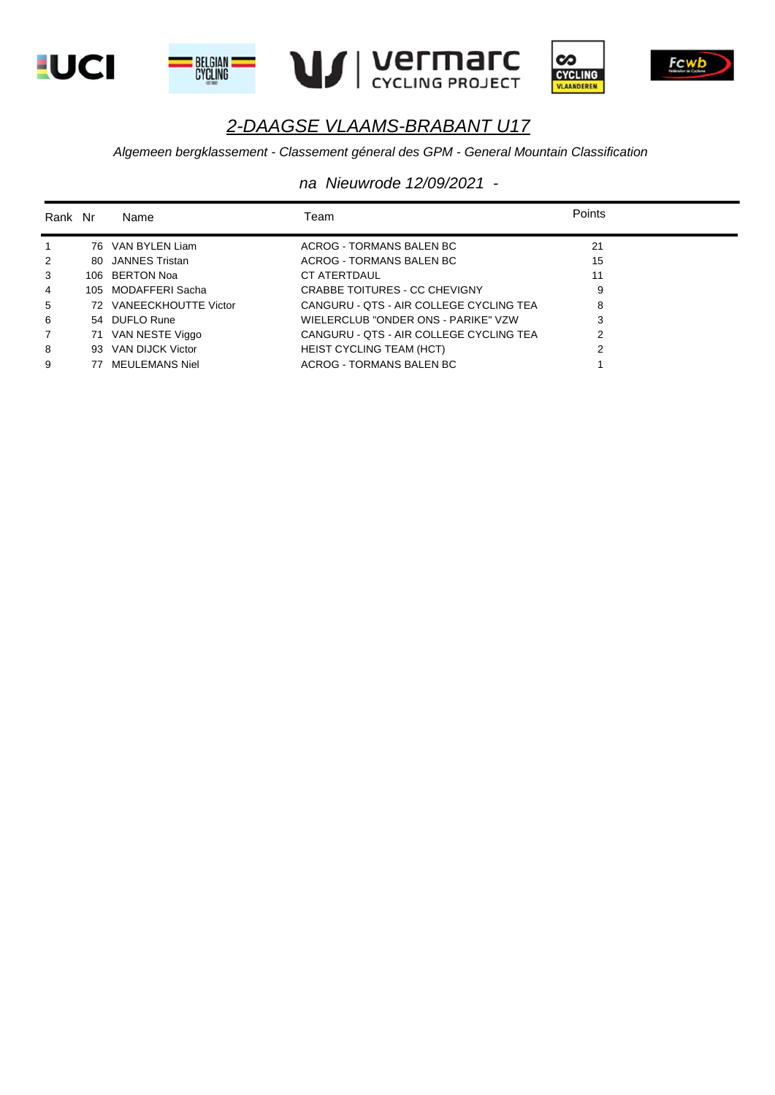









#### *Algemeen bergklassement - Classement géneral des GPM - General Mountain Classification*

| Rank Nr        |    | Name                    | Team                                    | Points |
|----------------|----|-------------------------|-----------------------------------------|--------|
| $\mathbf{1}$   |    | 76 VAN BYLEN Liam       | ACROG - TORMANS BALEN BC                | 21     |
| 2              |    | 80 JANNES Tristan       | ACROG - TORMANS BALEN BC                | 15     |
| 3              |    | 106 BERTON Noa          | <b>CT ATERTDAUL</b>                     | 11     |
| $\overline{4}$ |    | 105 MODAFFERI Sacha     | CRABBE TOITURES - CC CHEVIGNY           | 9      |
| 5              |    | 72 VANEECKHOUTTE Victor | CANGURU - QTS - AIR COLLEGE CYCLING TEA | 8      |
| 6              |    | 54 DUFLO Rune           | WIELERCLUB "ONDER ONS - PARIKE" VZW     | 3      |
| $\overline{7}$ |    | 71 VAN NESTE Viggo      | CANGURU - OTS - AIR COLLEGE CYCLING TEA | 2      |
| 8              |    | 93 VAN DIJCK Victor     | HEIST CYCLING TEAM (HCT)                | 2      |
| 9              | 77 | <b>MEULEMANS Niel</b>   | ACROG - TORMANS BALEN BC                |        |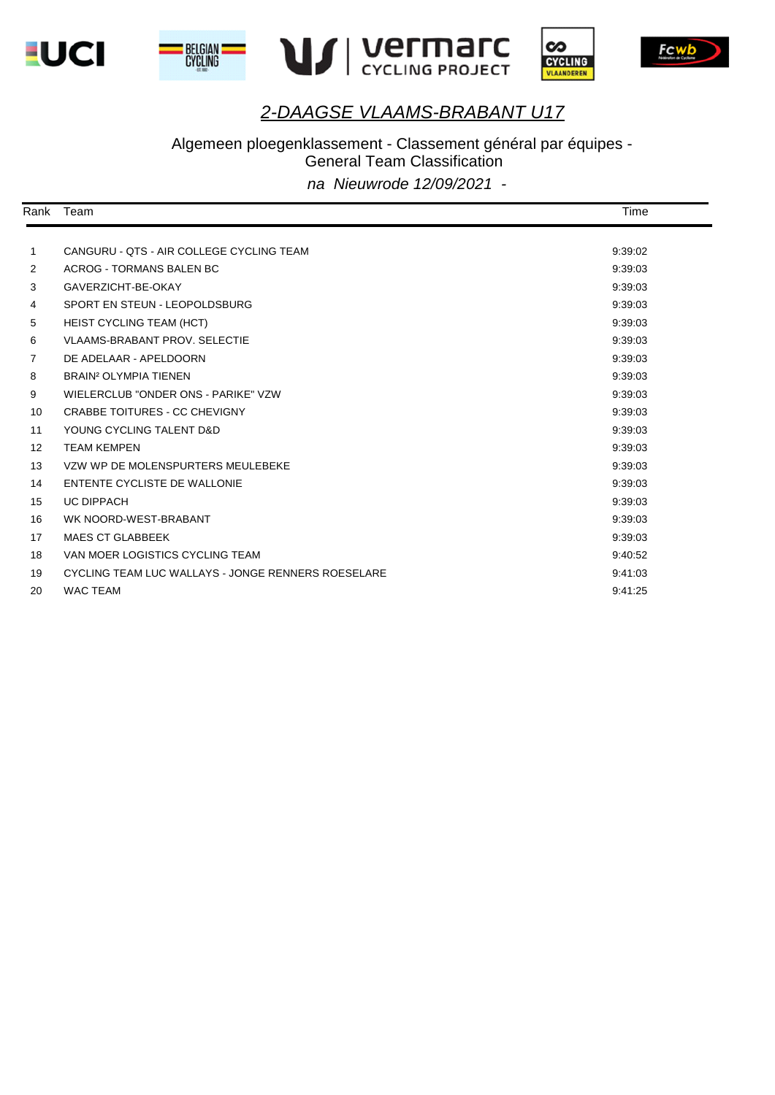







Fcwb



# Algemeen ploegenklassement - Classement général par équipes -

General Team Classification

| Rank | Team                                               | Time    |  |
|------|----------------------------------------------------|---------|--|
|      |                                                    |         |  |
| 1    | CANGURU - QTS - AIR COLLEGE CYCLING TEAM           | 9:39:02 |  |
| 2    | ACROG - TORMANS BALEN BC                           | 9:39:03 |  |
| 3    | GAVERZICHT-BE-OKAY                                 | 9:39:03 |  |
| 4    | SPORT EN STEUN - LEOPOLDSBURG                      | 9:39:03 |  |
| 5    | <b>HEIST CYCLING TEAM (HCT)</b>                    | 9:39:03 |  |
| 6    | <b>VLAAMS-BRABANT PROV. SELECTIE</b>               | 9:39:03 |  |
| 7    | DE ADELAAR - APELDOORN                             | 9:39:03 |  |
| 8    | <b>BRAIN<sup>2</sup> OLYMPIA TIENEN</b>            | 9:39:03 |  |
| 9    | WIELERCLUB "ONDER ONS - PARIKE" VZW                | 9:39:03 |  |
| 10   | CRABBE TOITURES - CC CHEVIGNY                      | 9:39:03 |  |
| 11   | YOUNG CYCLING TALENT D&D                           | 9:39:03 |  |
| 12   | <b>TEAM KEMPEN</b>                                 | 9:39:03 |  |
| 13   | VZW WP DE MOLENSPURTERS MEULEBEKE                  | 9:39:03 |  |
| 14   | ENTENTE CYCLISTE DE WALLONIE                       | 9:39:03 |  |
| 15   | <b>UC DIPPACH</b>                                  | 9:39:03 |  |
| 16   | WK NOORD-WEST-BRABANT                              | 9:39:03 |  |
| 17   | <b>MAES CT GLABBEEK</b>                            | 9:39:03 |  |
| 18   | VAN MOER LOGISTICS CYCLING TEAM                    | 9:40:52 |  |
| 19   | CYCLING TEAM LUC WALLAYS - JONGE RENNERS ROESELARE | 9:41:03 |  |
| 20   | <b>WAC TEAM</b>                                    | 9:41:25 |  |
|      |                                                    |         |  |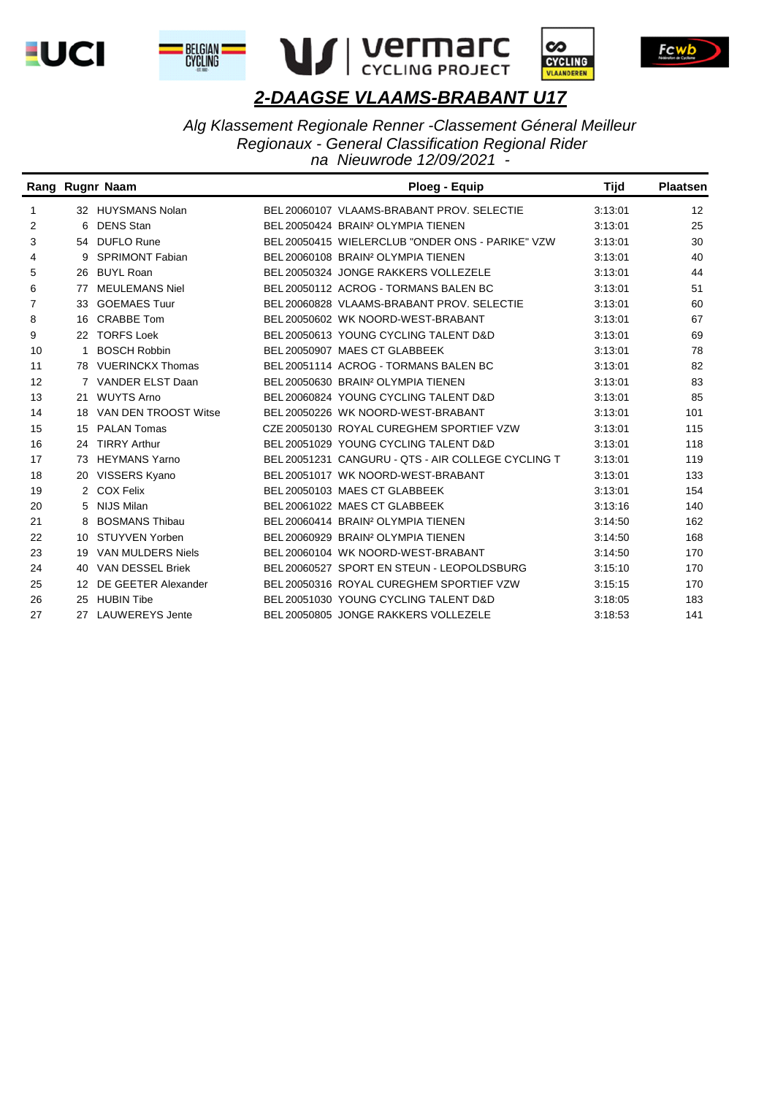









*Alg Klassement Regionale Renner -Classement Géneral Meilleur Regionaux - General Classification Regional Rider na Nieuwrode 12/09/2021 -* 

|    |    | Rang Rugnr Naam         | <b>Ploeg - Equip</b>                               | <b>Tijd</b> | <b>Plaatsen</b> |
|----|----|-------------------------|----------------------------------------------------|-------------|-----------------|
| 1  |    | 32 HUYSMANS Nolan       | BEL 20060107 VLAAMS-BRABANT PROV. SELECTIE         | 3:13:01     | 12              |
| 2  | 6  | <b>DENS Stan</b>        | BEL 20050424 BRAIN <sup>2</sup> OLYMPIA TIENEN     | 3:13:01     | 25              |
| 3  |    | 54 DUFLO Rune           | BEL 20050415 WIELERCLUB "ONDER ONS - PARIKE" VZW   | 3:13:01     | 30              |
| 4  | 9  | <b>SPRIMONT Fabian</b>  | BEL 20060108 BRAIN <sup>2</sup> OLYMPIA TIENEN     | 3:13:01     | 40              |
| 5  | 26 | <b>BUYL Roan</b>        | BEL 20050324 JONGE RAKKERS VOLLEZELE               | 3:13:01     | 44              |
| 6  | 77 | <b>MEULEMANS Niel</b>   | BEL 20050112 ACROG - TORMANS BALEN BC              | 3:13:01     | 51              |
| 7  | 33 | <b>GOEMAES Tuur</b>     | BEL 20060828 VLAAMS-BRABANT PROV. SELECTIE         | 3:13:01     | 60              |
| 8  | 16 | <b>CRABBE Tom</b>       | BEL 20050602 WK NOORD-WEST-BRABANT                 | 3:13:01     | 67              |
| 9  | 22 | <b>TORFS Loek</b>       | BEL 20050613 YOUNG CYCLING TALENT D&D              | 3:13:01     | 69              |
| 10 |    | <b>BOSCH Robbin</b>     | BEL 20050907 MAES CT GLABBEEK                      | 3:13:01     | 78              |
| 11 |    | 78 VUERINCKX Thomas     | BEL 20051114 ACROG - TORMANS BALEN BC              | 3:13:01     | 82              |
| 12 |    | VANDER ELST Daan        | BEL 20050630 BRAIN <sup>2</sup> OLYMPIA TIENEN     | 3:13:01     | 83              |
| 13 | 21 | <b>WUYTS Arno</b>       | BEL 20060824 YOUNG CYCLING TALENT D&D              | 3:13:01     | 85              |
| 14 | 18 | VAN DEN TROOST Witse    | BEL 20050226 WK NOORD-WEST-BRABANT                 | 3:13:01     | 101             |
| 15 | 15 | <b>PALAN Tomas</b>      | CZE 20050130 ROYAL CUREGHEM SPORTIEF VZW           | 3:13:01     | 115             |
| 16 | 24 | <b>TIRRY Arthur</b>     | BEL 20051029 YOUNG CYCLING TALENT D&D              | 3:13:01     | 118             |
| 17 | 73 | <b>HEYMANS Yarno</b>    | BEL 20051231 CANGURU - QTS - AIR COLLEGE CYCLING T | 3:13:01     | 119             |
| 18 | 20 | VISSERS Kyano           | BEL 20051017 WK NOORD-WEST-BRABANT                 | 3:13:01     | 133             |
| 19 |    | 2 COX Felix             | BEL 20050103 MAES CT GLABBEEK                      | 3:13:01     | 154             |
| 20 | 5  | NIJS Milan              | BEL 20061022 MAES CT GLABBEEK                      | 3:13:16     | 140             |
| 21 | 8  | <b>BOSMANS Thibau</b>   | BEL 20060414 BRAIN <sup>2</sup> OLYMPIA TIENEN     | 3:14:50     | 162             |
| 22 | 10 | <b>STUYVEN Yorben</b>   | BEL 20060929 BRAIN <sup>2</sup> OLYMPIA TIENEN     | 3:14:50     | 168             |
| 23 | 19 | VAN MULDERS Niels       | BEL 20060104 WK NOORD-WEST-BRABANT                 | 3:14:50     | 170             |
| 24 | 40 | <b>VAN DESSEL Briek</b> | BEL 20060527 SPORT EN STEUN - LEOPOLDSBURG         | 3:15:10     | 170             |
| 25 | 12 | DE GEETER Alexander     | BEL 20050316 ROYAL CUREGHEM SPORTIEF VZW           | 3:15:15     | 170             |
| 26 | 25 | <b>HUBIN Tibe</b>       | BEL 20051030 YOUNG CYCLING TALENT D&D              | 3:18:05     | 183             |
| 27 | 27 | <b>LAUWEREYS Jente</b>  | BEL 20050805 JONGE RAKKERS VOLLEZELE               | 3:18:53     | 141             |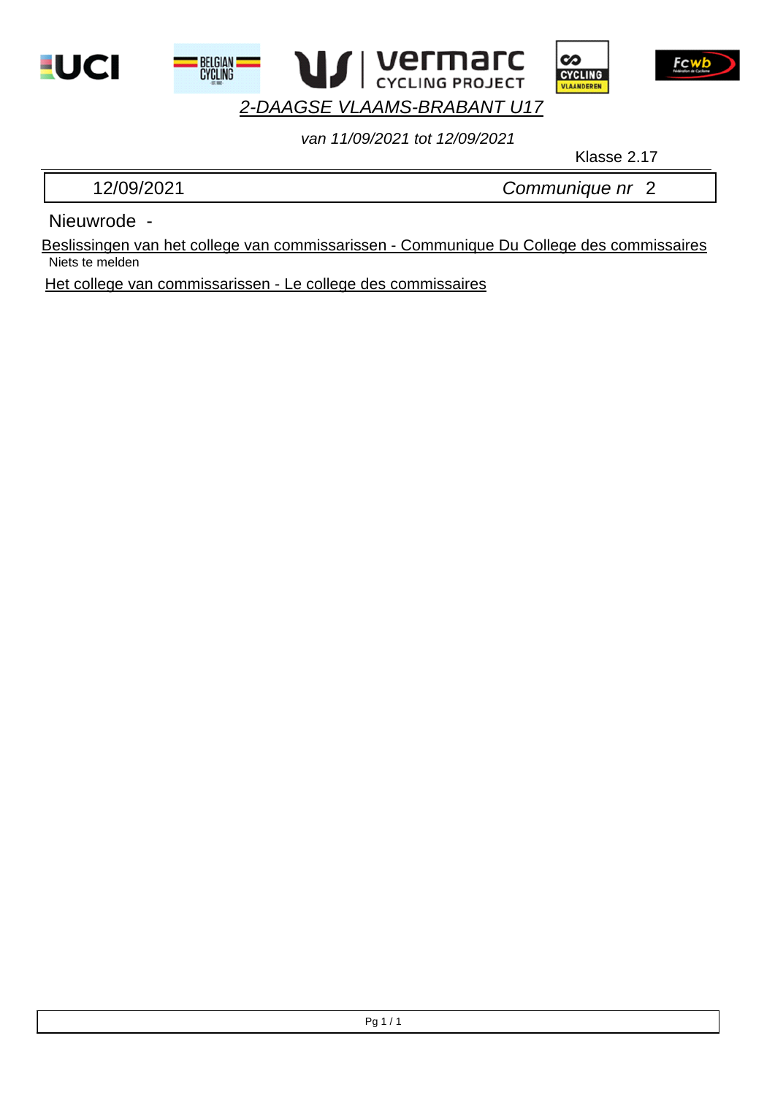





*van 11/09/2021 tot 12/09/2021*

Klasse 2.17

12/09/2021 *Communique nr* 2

Nieuwrode -

Niets te melden Beslissingen van het college van commissarissen - Communique Du College des commissaires

Het college van commissarissen - Le college des commissaires

**BELGIAN**<br>CYCLING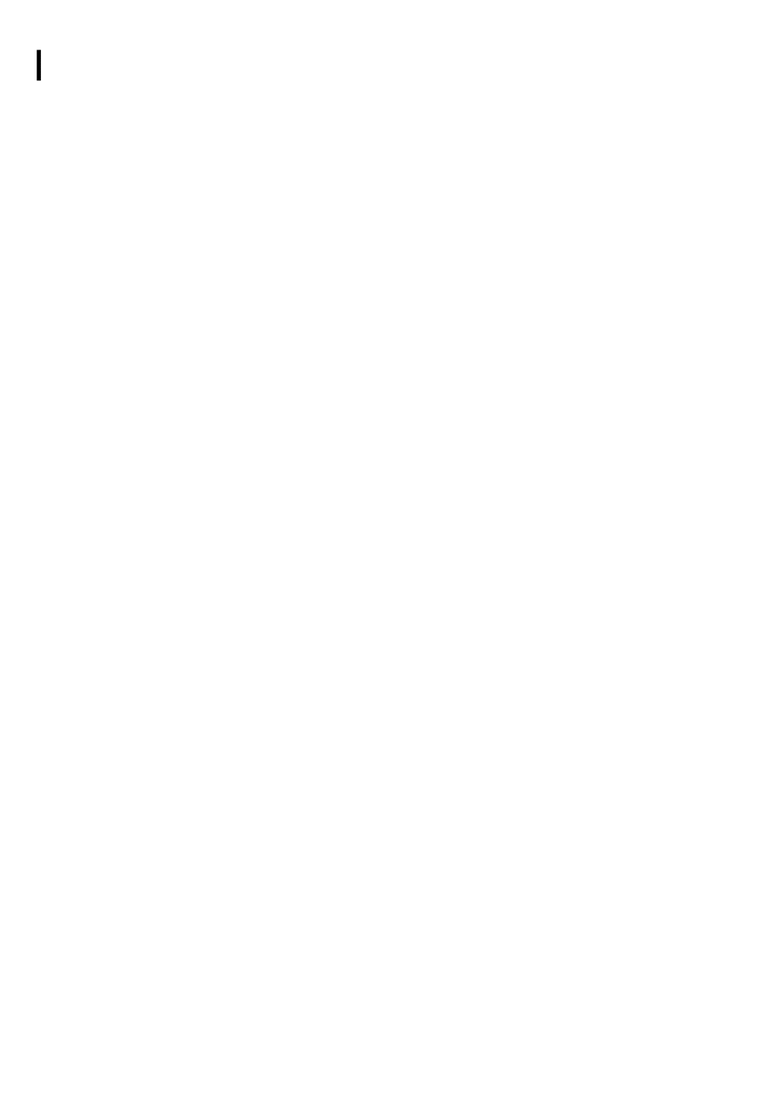I